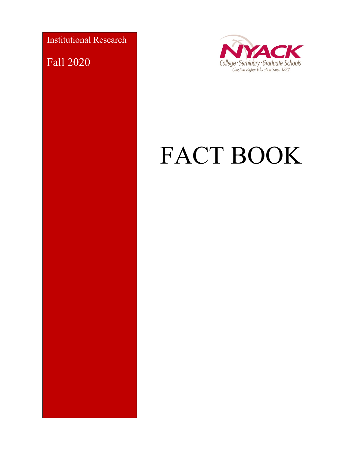Institutional Research

Fall 2020



# FACT BOOK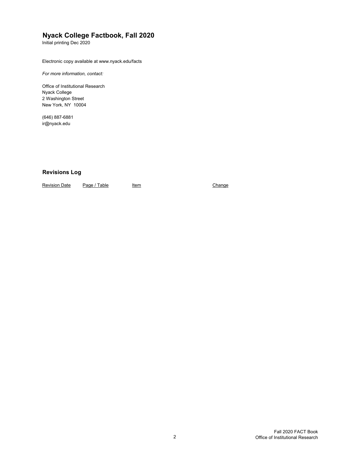### **Nyack College Factbook, Fall 2020**

Initial printing Dec 2020

Electronic copy available at www.nyack.edu/facts

*For more information, contact:*

Office of Institutional Research Nyack College 2 Washington Street New York, NY 10004

(646) 887-6881 [ir@nyack.edu](mailto:ir@nyack.edu)

#### **Revisions Log**

Revision Date Page / Table Item Item Change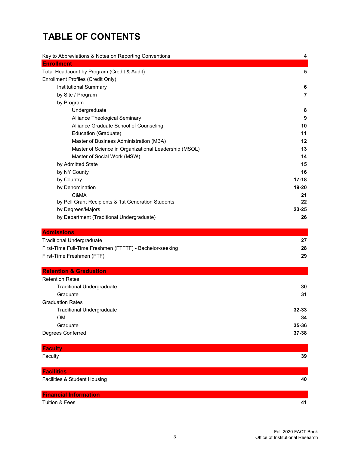# **TABLE OF CONTENTS**

| Key to Abbreviations & Notes on Reporting Conventions    | 4              |
|----------------------------------------------------------|----------------|
| <b>Enrollment</b>                                        |                |
| Total Headcount by Program (Credit & Audit)              | 5              |
| Enrollment Profiles (Credit Only)                        |                |
| Institutional Summary                                    | 6              |
| by Site / Program                                        | $\overline{7}$ |
| by Program                                               |                |
| Undergraduate                                            | 8              |
| Alliance Theological Seminary                            | 9              |
| Alliance Graduate School of Counseling                   | 10             |
| Education (Graduate)                                     | 11             |
| Master of Business Administration (MBA)                  | 12             |
| Master of Science in Organizational Leadership (MSOL)    | 13             |
| Master of Social Work (MSW)                              | 14             |
| by Admitted State                                        | 15             |
| by NY County                                             | 16             |
| by Country                                               | $17 - 18$      |
| by Denomination                                          | 19-20          |
| C&MA                                                     | 21             |
| by Pell Grant Recipients & 1st Generation Students       | 22             |
| by Degrees/Majors                                        | 23-25          |
| by Department (Traditional Undergraduate)                | 26             |
|                                                          |                |
| <b>Admissions</b>                                        |                |
| <b>Traditional Undergraduate</b>                         | 27             |
| First-Time Full-Time Freshmen (FTFTF) - Bachelor-seeking | 28             |
| First-Time Freshmen (FTF)                                | 29             |
| <b>Retention &amp; Graduation</b>                        |                |
| <b>Retention Rates</b>                                   |                |
| <b>Traditional Undergraduate</b>                         | 30             |
| Graduate                                                 | 31             |
| <b>Graduation Rates</b>                                  |                |
| <b>Traditional Undergraduate</b>                         | $32 - 33$      |
| OM                                                       | 34             |
| Graduate                                                 | 35-36          |
| Degrees Conferred                                        | 37-38          |
| <b>Faculty</b>                                           |                |
| Faculty                                                  | 39             |
| <b>Facilities</b>                                        |                |
|                                                          | 40             |
| Facilities & Student Housing                             |                |
| <b>Financial Information</b>                             |                |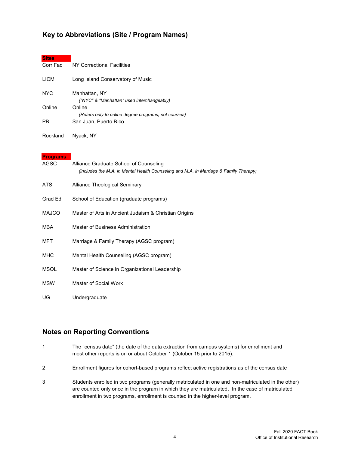#### **Key to Abbreviations (Site / Program Names)**

| <b>Sites</b> |                                                                |
|--------------|----------------------------------------------------------------|
| Corr Fac     | NY Correctional Facilities                                     |
| <b>LICM</b>  | Long Island Conservatory of Music                              |
| <b>NYC</b>   | Manhattan, NY<br>("NYC" & "Manhattan" used interchangeably)    |
| Online       | Online<br>(Refers only to online degree programs, not courses) |
| <b>PR</b>    | San Juan, Puerto Rico                                          |
| Rockland     | Nyack, NY                                                      |

#### **Programs**

| AGSC         | Alliance Graduate School of Counseling<br>(includes the M.A. in Mental Health Counseling and M.A. in Marriage & Family Therapy) |
|--------------|---------------------------------------------------------------------------------------------------------------------------------|
| ATS.         | Alliance Theological Seminary                                                                                                   |
| Grad Ed      | School of Education (graduate programs)                                                                                         |
| <b>MAJCO</b> | Master of Arts in Ancient Judaism & Christian Origins                                                                           |
| <b>MBA</b>   | Master of Business Administration                                                                                               |
| MFT          | Marriage & Family Therapy (AGSC program)                                                                                        |
| <b>MHC</b>   | Mental Health Counseling (AGSC program)                                                                                         |
| <b>MSOL</b>  | Master of Science in Organizational Leadership                                                                                  |
| <b>MSW</b>   | Master of Social Work                                                                                                           |
| UG           | Undergraduate                                                                                                                   |

#### **Notes on Reporting Conventions**

- 1 The "census date" (the date of the data extraction from campus systems) for enrollment and most other reports is on or about October 1 (October 15 prior to 2015).
- 2 Enrollment figures for cohort-based programs reflect active registrations as of the census date
- 3 Students enrolled in two programs (generally matriculated in one and non-matriculated in the other) are counted only once in the program in which they are matriculated. In the case of matriculated enrollment in two programs, enrollment is counted in the higher-level program.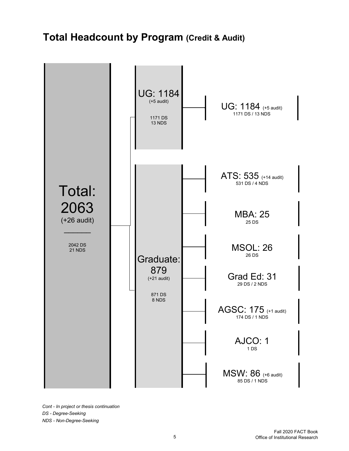# **Total Headcount by Program (Credit & Audit)**



*Cont - In project or thesis continuation DS - Degree-Seeking NDS - Non-Degree-Seeking*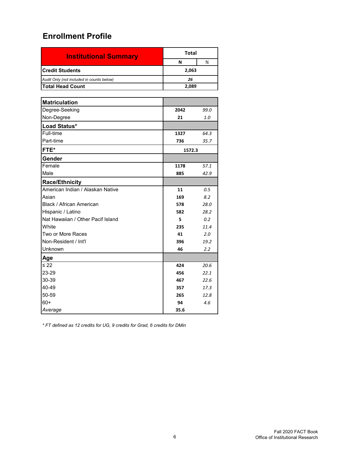| <b>Institutional Summary</b>              | Total  |  |  |  |  |
|-------------------------------------------|--------|--|--|--|--|
|                                           | %<br>N |  |  |  |  |
| <b>ICredit Students</b>                   | 2,063  |  |  |  |  |
| Audit Only (not included in counts below) | 26     |  |  |  |  |
| lTotal Head Count                         | 2.089  |  |  |  |  |

| <b>Matriculation</b>              |        |      |
|-----------------------------------|--------|------|
| Degree-Seeking                    | 2042   | 99.0 |
| Non-Degree                        | 21     | 1.0  |
| Load Status*                      |        |      |
| Full-time                         | 1327   | 64.3 |
| Part-time                         | 736    | 35.7 |
| FTE*                              | 1572.3 |      |
| Gender                            |        |      |
| Female                            | 1178   | 57.1 |
| Male                              | 885    | 42.9 |
| <b>Race/Ethnicity</b>             |        |      |
| American Indian / Alaskan Native  | 11     | 0.5  |
| Asian                             | 169    | 8.2  |
| Black / African American          | 578    | 28.0 |
| Hispanic / Latino                 | 582    | 28.2 |
| Nat Hawaiian / Other Pacif Island | 5      | 0.2  |
| White                             | 235    | 11.4 |
| Two or More Races                 | 41     | 2.0  |
| Non-Resident / Int'l              | 396    | 19.2 |
| <b>Unknown</b>                    | 46     | 2.2  |
| Age                               |        |      |
| $\leq 22$                         | 424    | 20.6 |
| 23-29                             | 456    | 22.1 |
| 30-39                             | 467    | 22.6 |
| 40-49                             | 357    | 17.3 |
| 50-59                             | 265    | 12.8 |
| $60+$                             | 94     | 4.6  |
| Average                           | 35.6   |      |

*\* FT defined as 12 credits for UG, 9 credits for Grad, 6 credits for DMin*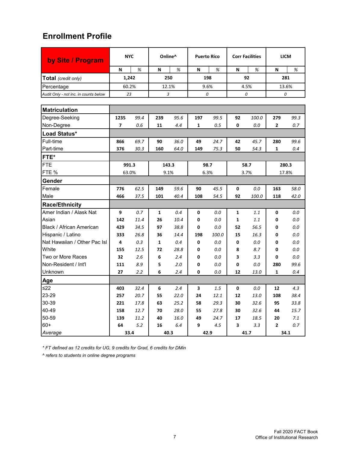| by Site / Program                     | <b>NYC</b>               |      |              | Online^ |      | <b>Puerto Rico</b> |                         | <b>Corr Facilities</b> |                | <b>LICM</b> |  |
|---------------------------------------|--------------------------|------|--------------|---------|------|--------------------|-------------------------|------------------------|----------------|-------------|--|
|                                       | N                        | %    | N            | %       | N    | %                  | N                       | %                      | N              | %           |  |
| Total (credit only)                   | 1,242                    |      |              | 250     |      | 198                | 92                      |                        | 281            |             |  |
| Percentage                            | 60.2%                    |      |              | 12.1%   |      | 9.6%               |                         | 4.5%                   | 13.6%          |             |  |
| Audit Only - not inc. in counts below | 23                       |      |              | 3       |      | 0                  |                         | 0                      | 0              |             |  |
|                                       |                          |      |              |         |      |                    |                         |                        |                |             |  |
| <b>Matriculation</b>                  |                          |      |              |         |      |                    |                         |                        |                |             |  |
| Degree-Seeking                        | 1235                     | 99.4 | 239          | 95.6    | 197  | 99.5               | 92                      | 100.0                  | 279            | 99.3        |  |
| Non-Degree                            | $\overline{\phantom{a}}$ | 0.6  | 11           | 4.4     | 1    | 0.5                | $\mathbf 0$             | 0.0                    | 2              | 0.7         |  |
| Load Status*                          |                          |      |              |         |      |                    |                         |                        |                |             |  |
| Full-time                             | 866                      | 69.7 | 90           | 36.0    | 49   | 24.7               | 42                      | 45.7                   | 280            | 99.6        |  |
| Part-time                             | 376                      | 30.3 | 160          | 64.0    | 149  | 75.3               | 50                      | 54.3                   | $\mathbf{1}$   | 0.4         |  |
| FTE*                                  |                          |      |              |         |      |                    |                         |                        |                |             |  |
| FTE                                   | 991.3                    |      |              | 143.3   |      | 98.7               |                         | 58.7                   |                | 280.3       |  |
| FTE %                                 | 63.0%                    |      |              | 9.1%    | 6.3% |                    | 3.7%                    |                        | 17.8%          |             |  |
| Gender                                |                          |      |              |         |      |                    |                         |                        |                |             |  |
| Female                                | 776                      | 62.5 | 149          | 59.6    | 90   | 45.5               | $\mathbf 0$             | 0.0                    | 163            | 58.0        |  |
| Male                                  | 466                      | 37.5 | 101          | 40.4    | 108  | 54.5               | 92                      | 100.0                  | 118            | 42.0        |  |
| <b>Race/Ethnicity</b>                 |                          |      |              |         |      |                    |                         |                        |                |             |  |
| Amer Indian / Alask Nat               | 9                        | 0.7  | $\mathbf{1}$ | 0.4     | 0    | 0.0                | $\mathbf{1}$            | 1.1                    | 0              | 0.0         |  |
| Asian                                 | 142                      | 11.4 | 26           | 10.4    | 0    | 0.0                | $\mathbf{1}$            | 1.1                    | 0              | 0.0         |  |
| Black / African American              | 429                      | 34.5 | 97           | 38.8    | 0    | 0.0                | 52                      | 56.5                   | 0              | 0.0         |  |
| Hispanic / Latino                     | 333                      | 26.8 | 36           | 14.4    | 198  | 100.0              | 15                      | 16.3                   | 0              | 0.0         |  |
| Nat Hawaiian / Other Pac Isl          | 4                        | 0.3  | $\mathbf{1}$ | 0.4     | 0    | 0.0                | 0                       | 0.0                    | 0              | 0.0         |  |
| White                                 | 155                      | 12.5 | 72           | 28.8    | 0    | 0.0                | 8                       | 8.7                    | 0              | 0.0         |  |
| Two or More Races                     | 32                       | 2.6  | 6            | 2.4     | 0    | 0.0                | 3                       | 3.3                    | 0              | 0.0         |  |
| Non-Resident / Int'l                  | 111                      | 8.9  | 5            | 2.0     | 0    | 0.0                | 0                       | 0.0                    | 280            | 99.6        |  |
| Unknown                               | 27                       | 2.2  | 6            | 2.4     | 0    | 0.0                | 12                      | 13.0                   | 1              | 0.4         |  |
| <u>Age</u>                            |                          |      |              |         |      |                    |                         |                        |                |             |  |
| ≤22                                   | 403                      | 32.4 | 6            | 2.4     | 3    | 1.5                | 0                       | 0.0                    | 12             | 4.3         |  |
| 23-29                                 | 257                      | 20.7 | 55           | 22.0    | 24   | 12.1               | 12                      | 13.0                   | 108            | 38.4        |  |
| 30-39                                 | 221                      | 17.8 | 63           | 25.2    | 58   | 29.3               | 30                      | 32.6                   | 95             | 33.8        |  |
| 40-49                                 | 158                      | 12.7 | 70           | 28.0    | 55   | 27.8               | 30                      | 32.6                   | 44             | 15.7        |  |
| 50-59                                 | 139                      | 11.2 | 40           | 16.0    | 49   | 24.7               | 17                      | 18.5                   | 20             | 7.1         |  |
| $60+$                                 | 64                       | 5.2  | 16           | 6.4     | 9    | 4.5                | $\overline{\mathbf{3}}$ | 3.3                    | $\overline{2}$ | 0.7         |  |
| Average                               |                          | 33.4 |              | 40.3    |      | 42.9               |                         | 41.7                   |                | 34.1        |  |

*\* FT defined as 12 credits for UG, 9 credits for Grad, 6 credits for DMin*

*^ refers to students in online degree programs*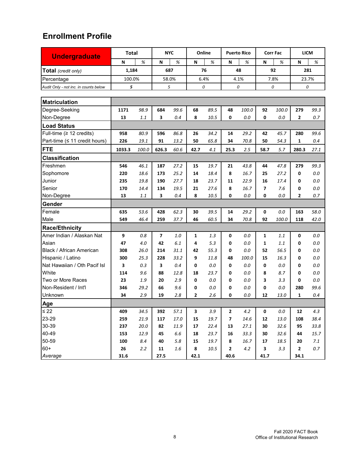| <b>Undergraduate</b>                  | <b>Total</b> |       | <b>NYC</b>     |      |      | Online |              | <b>Puerto Rico</b> |                | <b>Corr Fac</b> | <b>LICM</b>  |         |
|---------------------------------------|--------------|-------|----------------|------|------|--------|--------------|--------------------|----------------|-----------------|--------------|---------|
|                                       | N            | %     | N              | %    | N    | %      | N            | %                  | N              | %               | N            | %       |
| Total (credit only)                   | 1,184        |       | 687            |      |      | 76     |              | 48                 | 92             |                 | 281          |         |
| Percentage                            | 100.0%       |       | 58.0%          |      | 6.4% |        | 4.1%         |                    | 7.8%           |                 | 23.7%        |         |
| Audit Only - not inc. in counts below | 5            |       | 5              |      | 0    |        |              | 0                  |                | 0               | 0            |         |
|                                       |              |       |                |      |      |        |              |                    |                |                 |              |         |
| <b>Matriculation</b>                  |              |       |                |      |      |        |              |                    |                |                 |              |         |
| Degree-Seeking                        | 1171         | 98.9  | 684            | 99.6 | 68   | 89.5   | 48           | 100.0              | 92             | 100.0           | 279          | 99.3    |
| Non-Degree                            | 13           | 1.1   | 3              | 0.4  | 8    | 10.5   | 0            | 0.0                | 0              | 0.0             | 2            | 0.7     |
| <b>Load Status</b>                    |              |       |                |      |      |        |              |                    |                |                 |              |         |
| Full-time (≥ 12 credits)              | 958          | 80.9  | 596            | 86.8 | 26   | 34.2   | 14           | 29.2               | 42             | 45.7            | 280          | 99.6    |
| Part-time (≤ 11 credit hours)         | 226          | 19.1  | 91             | 13.2 | 50   | 65.8   | 34           | 70.8               | 50             | 54.3            | 1            | 0.4     |
| <b>FTE</b>                            | 1033.3       | 100.0 | 626.3          | 60.6 | 42.7 | 4.1    | 25.3         | 2.5                | 58.7           | 5.7             | 280.3        | 27.1    |
| <b>Classification</b>                 |              |       |                |      |      |        |              |                    |                |                 |              |         |
| Freshmen                              | 546          | 46.1  | 187            | 27.2 | 15   | 19.7   | 21           | 43.8               | 44             | 47.8            | 279          | 99.3    |
| Sophomore                             | 220          | 18.6  | 173            | 25.2 | 14   | 18.4   | 8            | 16.7               | 25             | 27.2            | 0            | 0.0     |
| Junior                                | 235          | 19.8  | 190            | 27.7 | 18   | 23.7   | 11           | 22.9               | 16             | 17.4            | 0            | 0.0     |
| Senior                                | 170          | 14.4  | 134            | 19.5 | 21   | 27.6   | 8            | 16.7               | $\overline{ }$ | 7.6             | 0            | 0.0     |
| Non-Degree                            | 13           | 1.1   | 3              | 0.4  | 8    | 10.5   | 0            | 0.0                | 0              | 0.0             | 2            | 0.7     |
| Gender                                |              |       |                |      |      |        |              |                    |                |                 |              |         |
| Female                                | 635          | 53.6  | 428            | 62.3 | 30   | 39.5   | 14           | 29.2               | 0              | 0.0             | 163          | 58.0    |
| Male                                  | 549          | 46.4  | 259            | 37.7 | 46   | 60.5   | 34           | 70.8               | 92             | 100.0           | 118          | 42.0    |
| <b>Race/Ethnicity</b>                 |              |       |                |      |      |        |              |                    |                |                 |              |         |
| Amer Indian / Alaskan Nat             | 9            | 0.8   | $\overline{ }$ | 1.0  | 1    | 1.3    | 0            | 0.0                | 1              | 1.1             | 0            | 0.0     |
| Asian                                 | 47           | 4.0   | 42             | 6.1  | 4    | 5.3    | 0            | 0.0                | 1              | 1.1             | 0            | 0.0     |
| Black / African American              | 308          | 26.0  | 214            | 31.1 | 42   | 55.3   | 0            | 0.0                | 52             | 56.5            | 0            | 0.0     |
| Hispanic / Latino                     | 300          | 25.3  | 228            | 33.2 | 9    | 11.8   | 48           | 100.0              | 15             | 16.3            | 0            | 0.0     |
| Nat Hawaiian / Oth Pacif Isl          | 3            | 0.3   | 3              | 0.4  | 0    | 0.0    | 0            | 0.0                | 0              | 0.0             | 0            | 0.0     |
| White                                 | 114          | 9.6   | 88             | 12.8 | 18   | 23.7   | 0            | 0.0                | 8              | 8.7             | 0            | 0.0     |
| Two or More Races                     | 23           | 1.9   | 20             | 2.9  | 0    | 0.0    | 0            | 0.0                | 3              | 3.3             | 0            | 0.0     |
| Non-Resident / Int'l                  | 346          | 29.2  | 66             | 9.6  | 0    | 0.0    | 0            | 0.0                | 0              | 0.0             | 280          | 99.6    |
| Unknown                               | 34           | 2.9   | 19             | 2.8  | 2    | 2.6    | 0            | 0.0                | 12             | 13.0            | 1            | 0.4     |
| Age                                   |              |       |                |      |      |        |              |                    |                |                 |              |         |
| $\leq 22$                             | 409          | 34.5  | 392            | 57.1 | 3    | 3.9    | $\mathbf{2}$ | 4.2                | $\mathbf 0$    | 0.0             | 12           | 4.3     |
| 23-29                                 | 259          | 21.9  | 117            | 17.0 | 15   | 19.7   | 7            | 14.6               | 12             | 13.0            | 108          | 38.4    |
| 30-39                                 | 237          | 20.0  | 82             | 11.9 | 17   | 22.4   | 13           | 27.1               | 30             | 32.6            | 95           | 33.8    |
| 40-49                                 | 153          | 12.9  | 45             | 6.6  | 18   | 23.7   | 16           | 33.3               | 30             | 32.6            | 44           | 15.7    |
| 50-59                                 | 100          | 8.4   | 40             | 5.8  | 15   | 19.7   | 8            | 16.7               | 17             | 18.5            | 20           | 7.1     |
| $60+$                                 | 26           | 2.2   | 11             | 1.6  | 8    | 10.5   | $\mathbf{2}$ | 4.2                | 3              | 3.3             | $\mathbf{2}$ | $0.7\,$ |
| Average                               | 31.6         |       | 27.5           |      | 42.1 |        | 40.6         |                    | 41.7           |                 | 34.1         |         |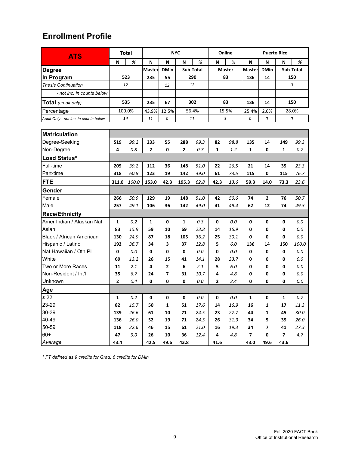| <b>ATS</b>                            |                | <b>Total</b> | <b>NYC</b> |                |       |           |      | Online        | <b>Puerto Rico</b> |                         |                |           |
|---------------------------------------|----------------|--------------|------------|----------------|-------|-----------|------|---------------|--------------------|-------------------------|----------------|-----------|
|                                       | N              | %            | N          | N              | N     | %         | N    | %             | N                  | N                       | N              | %         |
| <b>Degree</b>                         |                |              | Masterl    | <b>DMin</b>    |       | Sub-Total |      | <b>Master</b> | <b>Masterl</b>     | <b>DMin</b>             |                | Sub-Total |
| In Program                            |                | 523          | 235        | 55             |       | 290       |      | 83            |                    | 14                      |                | 150       |
| <b>Thesis Continuation</b>            | 12             |              |            | 12             |       | 12        |      |               |                    |                         |                | 0         |
| - not inc. in counts below            |                |              |            |                |       |           |      |               |                    |                         |                |           |
| Total (credit only)                   |                | 535          | 235        | 67             |       | 302       |      | 83            | 136                | 14                      |                | 150       |
| Percentage                            |                | 100.0%       | 43.9%      | 12.5%          |       | 56.4%     |      | 15.5%         | 25.4%              | 2.6%                    |                | 28.0%     |
| Audit Only - not inc. in counts below | 14             |              | 11         | 0              | 11    |           |      | 3             | 0                  | 0                       |                | 0         |
|                                       |                |              |            |                |       |           |      |               |                    |                         |                |           |
| <b>Matriculation</b>                  |                |              |            |                |       |           |      |               |                    |                         |                |           |
| Degree-Seeking                        | 519            | 99.2         | 233        | 55             | 288   | 99.3      | 82   | 98.8          | 135                | 14                      | 149            | 99.3      |
| Non-Degree                            | 4              | 0.8          | 2          | 0              | 2     | 0.7       | 1    | 1.2           | 1                  | 0                       | 1              | 0.7       |
| Load Status*                          |                |              |            |                |       |           |      |               |                    |                         |                |           |
| Full-time                             | 205            | 39.2         | 112        | 36             | 148   | 51.0      | 22   | 26.5          | 21                 | 14                      | 35             | 23.3      |
| Part-time                             | 318            | 60.8         | 123        | 19             | 142   | 49.0      | 61   | 73.5          | 115                | 0                       | 115            | 76.7      |
| <b>FTE</b>                            | 311.0          | 100.0        | 153.0      | 42.3           | 195.3 | 62.8      | 42.3 | 13.6          | 59.3               | 14.0                    | 73.3           | 23.6      |
| Gender                                |                |              |            |                |       |           |      |               |                    |                         |                |           |
| Female                                | 266            | 50.9         | 129        | 19             | 148   | 51.0      | 42   | 50.6          | 74                 | $\overline{2}$          | 76             | 50.7      |
| Male                                  | 257            | 49.1         | 106        | 36             | 142   | 49.0      | 41   | 49.4          | 62                 | 12                      | 74             | 49.3      |
| <b>Race/Ethnicity</b>                 |                |              |            |                |       |           |      |               |                    |                         |                |           |
| Amer Indian / Alaskan Nat             | 1              | 0.2          | 1          | 0              | 1     | 0.3       | 0    | 0.0           | 0                  | 0                       | 0              | 0.0       |
| Asian                                 | 83             | 15.9         | 59         | 10             | 69    | 23.8      | 14   | 16.9          | 0                  | 0                       | 0              | 0.0       |
| Black / African American              | 130            | 24.9         | 87         | 18             | 105   | 36.2      | 25   | 30.1          | 0                  | 0                       | 0              | 0.0       |
| Hispanic / Latino                     | 192            | 36.7         | 34         | 3              | 37    | 12.8      | 5    | 6.0           | 136                | 14                      | 150            | 100.0     |
| Nat Hawaiian / Oth PI                 | 0              | 0.0          | 0          | 0              | 0     | 0.0       | 0    | 0.0           | 0                  | 0                       | 0              | 0.0       |
| White                                 | 69             | 13.2         | 26         | 15             | 41    | 14.1      | 28   | 33.7          | 0                  | 0                       | 0              | 0.0       |
| Two or More Races                     | 11             | 2.1          | 4          | $\overline{2}$ | 6     | 2.1       | 5    | 6.0           | 0                  | 0                       | 0              | 0.0       |
| Non-Resident / Int'l                  | 35             | 6.7          | 24         | $\overline{ }$ | 31    | 10.7      | 4    | 4.8           | 0                  | 0                       | 0              | 0.0       |
| <b>Unknown</b>                        | $\overline{2}$ | 0.4          | 0          | 0              | 0     | 0.0       | 2    | 2.4           | 0                  | 0                       | 0              | 0.0       |
| Age                                   |                |              |            |                |       |           |      |               |                    |                         |                |           |
| $\leq 22$                             | 1              | 0.2          | 0          | 0              | 0     | 0.0       | 0    | 0.0           | 1                  | 0                       | 1              | 0.7       |
| 23-29                                 | 82             | 15.7         | 50         | $\mathbf 1$    | 51    | 17.6      | 14   | 16.9          | 16                 | $\mathbf 1$             | 17             | 11.3      |
| 30-39                                 | 139            | 26.6         | 61         | 10             | 71    | 24.5      | 23   | 27.7          | 44                 | $\mathbf{1}$            | 45             | 30.0      |
| 40-49                                 | 136            | 26.0         | 52         | 19             | 71    | 24.5      | 26   | 31.3          | 34                 | 5                       | 39             | 26.0      |
| 50-59                                 | 118            | 22.6         | 46         | 15             | 61    | 21.0      | 16   | 19.3          | 34                 | $\overline{\mathbf{z}}$ | 41             | 27.3      |
| $60+$                                 | 47             | $9.0\,$      | 26         | 10             | 36    | 12.4      | 4    | $4.8\,$       | $\overline{7}$     | 0                       | $\overline{7}$ | 4.7       |
| Average                               | 43.4           |              | 42.5       | 49.6           | 43.8  |           | 41.6 |               | 43.0               | 49.6                    | 43.6           |           |

*\* FT defined as 9 credits for Grad, 6 credits for DMin*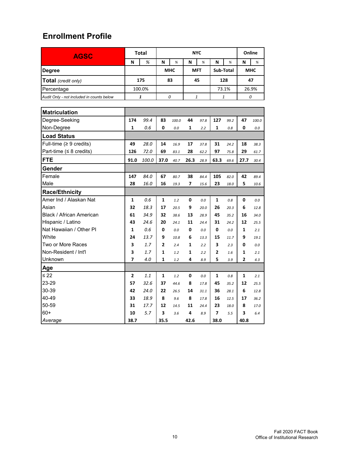| <b>AGSC</b>                               | <b>Total</b>   |        | <b>NYC</b> |         |                    |      |                |      | Online |            |  |
|-------------------------------------------|----------------|--------|------------|---------|--------------------|------|----------------|------|--------|------------|--|
|                                           | N              | %      | N          | %       | N                  | %    | N              | %    | N      | %          |  |
| Degree                                    |                |        | <b>MHC</b> |         | <b>MFT</b>         |      | Sub-Total      |      |        | <b>MHC</b> |  |
| Total (credit only)                       |                | 175    | 83         |         | 45                 |      | 128            |      | 47     |            |  |
| Percentage                                |                | 100.0% |            |         |                    |      | 73.1%          |      | 26.9%  |            |  |
| Audit Only - not included in counts below |                | 1      | 0          |         | $\mathbf{1}% _{T}$ |      | 1              |      |        | 0          |  |
|                                           |                |        |            |         |                    |      |                |      |        |            |  |
| <b>Matriculation</b>                      |                |        |            |         |                    |      |                |      |        |            |  |
| Degree-Seeking                            | 174            | 99.4   | 83         | 100.0   | 44                 | 97.8 | 127            | 99.2 | 47     | 100.0      |  |
| Non-Degree                                | 1              | 0.6    | 0          | $0.0\,$ | 1                  | 2.2  | 1              | 0.8  | 0      | $0.0\,$    |  |
| <b>Load Status</b>                        |                |        |            |         |                    |      |                |      |        |            |  |
| Full-time ( $\geq 9$ credits)             | 49             | 28.0   | 14         | 16.9    | 17                 | 37.8 | 31             | 24.2 | 18     | 38.3       |  |
| Part-time ( $\leq 8$ credits)             | 126            | 72.0   | 69         | 83.1    | 28                 | 62.2 | 97             | 75.8 | 29     | 61.7       |  |
| <b>FTE</b>                                | 91.0           | 100.0  | 37.0       | 40.7    | 26.3               | 28.9 | 63.3           | 69.6 | 27.7   | 30.4       |  |
| Gender                                    |                |        |            |         |                    |      |                |      |        |            |  |
| Female                                    | 147            | 84.0   | 67         | 80.7    | 38                 | 84.4 | 105            | 82.0 | 42     | 89.4       |  |
| Male                                      | 28             | 16.0   | 16         | 19.3    | 7                  | 15.6 | 23             | 18.0 | 5      | 10.6       |  |
| <b>Race/Ethnicity</b>                     |                |        |            |         |                    |      |                |      |        |            |  |
| Amer Ind / Alaskan Nat                    | 1              | 0.6    | 1          | 1.2     | 0                  | 0.0  | 1              | 0.8  | 0      | 0.0        |  |
| Asian                                     | 32             | 18.3   | 17         | 20.5    | 9                  | 20.0 | 26             | 20.3 | 6      | 12.8       |  |
| Black / African American                  | 61             | 34.9   | 32         | 38.6    | 13                 | 28.9 | 45             | 35.2 | 16     | 34.0       |  |
| Hispanic / Latino                         | 43             | 24.6   | 20         | 24.1    | 11                 | 24.4 | 31             | 24.2 | 12     | 25.5       |  |
| Nat Hawaiian / Other PI                   | 1              | 0.6    | 0          | 0.0     | 0                  | 0.0  | 0              | 0.0  | 1      | 2.1        |  |
| White                                     | 24             | 13.7   | 9          | 10.8    | 6                  | 13.3 | 15             | 11.7 | 9      | 19.1       |  |
| Two or More Races                         | 3              | 1.7    | 2          | 2.4     | 1                  | 2.2  | 3              | 2.3  | 0      | 0.0        |  |
| Non-Resident / Int'l                      | 3              | 1.7    | 1          | 1.2     | 1                  | 2.2  | 2              | 1.6  | 1      | 2.1        |  |
| Unknown                                   | 7              | 4.0    | 1          | 1.2     | 4                  | 8.9  | 5              | 3.9  | 2      | 4.3        |  |
| Age                                       |                |        |            |         |                    |      |                |      |        |            |  |
| ≤ 22                                      | $\overline{2}$ | 1.1    | 1          | 1.2     | 0                  | 0.0  | 1              | 0.8  | 1      | 2.1        |  |
| 23-29                                     | 57             | 32.6   | 37         | 44.6    | 8                  | 17.8 | 45             | 35.2 | 12     | 25.5       |  |
| 30-39                                     | 42             | 24.0   | 22         | 26.5    | 14                 | 31.1 | 36             | 28.1 | 6      | 12.8       |  |
| 40-49                                     | 33             | 18.9   | 8          | 9.6     | 8                  | 17.8 | 16             | 12.5 | 17     | 36.2       |  |
| 50-59                                     | 31             | 17.7   | 12         | 14.5    | 11                 | 24.4 | 23             | 18.0 | 8      | 17.0       |  |
| $60+$                                     | 10             | 5.7    | 3          | 3.6     | 4                  | 8.9  | $\overline{7}$ | 5.5  | 3      | 6.4        |  |
| Average                                   | 38.7           |        | 35.5       |         | 42.6               |      | 38.0           |      | 40.8   |            |  |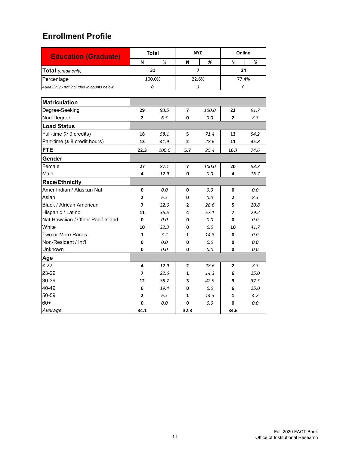| <b>Education (Graduate)</b>               |                | <b>Total</b> |                | <b>NYC</b>     | Online         |      |  |
|-------------------------------------------|----------------|--------------|----------------|----------------|----------------|------|--|
|                                           | N              | %            | N              | %              | N              | %    |  |
| Total (credit only)                       |                | 31           |                | $\overline{ }$ | 24             |      |  |
| Percentage                                |                | 100.0%       |                | 22.6%          | 77.4%          |      |  |
| Audit Only - not included in counts below | 0              |              |                | 0              | 0              |      |  |
|                                           |                |              |                |                |                |      |  |
| <b>Matriculation</b>                      |                |              |                |                |                |      |  |
| Degree-Seeking                            | 29             | 93.5         | $\overline{ }$ | 100.0          | 22             | 91.7 |  |
| Non-Degree                                | $\overline{2}$ | 6.5          | 0              | 0.0            | $\overline{2}$ | 8.3  |  |
| <b>Load Status</b>                        |                |              |                |                |                |      |  |
| Full-time ( $\geq 9$ credits)             | 18             | 58.1         | 5              | 71.4           | 13             | 54.2 |  |
| Part-time ( $\leq 8$ credit hours)        | 13             | 41.9         | $\overline{2}$ | 28.6           | 11             | 45.8 |  |
| FTE                                       | 22.3           | 100.0        | 5.7            | 25.4           | 16.7           | 74.6 |  |
| Gender                                    |                |              |                |                |                |      |  |
| Female                                    | 27             | 87.1         | $\overline{ }$ | 100.0          | 20             | 83.3 |  |
| Male                                      | 4              | 12.9         | 0              | 0.0            | 4              | 16.7 |  |
| <b>Race/Ethnicity</b>                     |                |              |                |                |                |      |  |
| Amer Indian / Alaskan Nat                 | 0              | 0.0          | 0              | 0.0            | 0              | 0.0  |  |
| Asian                                     | $\mathbf{2}$   | 6.5          | 0              | 0.0            | 2              | 8.3  |  |
| Black / African American                  | $\overline{ }$ | 22.6         | $\mathbf{z}$   | 28.6           | 5              | 20.8 |  |
| Hispanic / Latino                         | 11             | 35.5         | 4              | 57.1           | 7              | 29.2 |  |
| Nat Hawaiian / Other Pacif Island         | 0              | 0.0          | 0              | 0.0            | 0              | 0.0  |  |
| White                                     | 10             | 32.3         | 0              | 0.0            | 10             | 41.7 |  |
| Two or More Races                         | $\mathbf{1}$   | 3.2          | 1              | 14.3           | 0              | 0.0  |  |
| Non-Resident / Int'l                      | 0              | 0.0          | 0              | 0.0            | 0              | 0.0  |  |
| Unknown                                   | 0              | 0.0          | 0              | 0.0            | 0              | 0.0  |  |
| Age                                       |                |              |                |                |                |      |  |
| $\leq 22$                                 | 4              | 12.9         | $\overline{2}$ | 28.6           | $\mathbf{2}$   | 8.3  |  |
| 23-29                                     | 7              | 22.6         | 1              | 14.3           | 6              | 25.0 |  |
| 30-39                                     | 12             | 38.7         | 3              | 42.9           | 9              | 37.5 |  |
| 40-49                                     | 6              | 19.4         | 0              | 0.0            | 6              | 25.0 |  |
| 50-59                                     | $\mathbf{z}$   | 6.5          | 1              | 14.3           | 1              | 4.2  |  |
| $60+$                                     | 0              | 0.0          | 0              | 0.0            | 0              | 0.0  |  |
| Average                                   | 34.1           |              | 32.3           |                | 34.6           |      |  |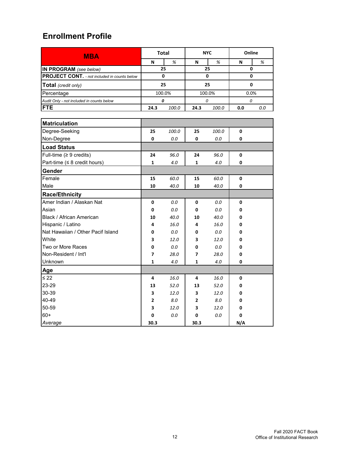| <b>MBA</b>                                          |                | <b>Total</b> |                | <b>NYC</b> | Online |     |  |
|-----------------------------------------------------|----------------|--------------|----------------|------------|--------|-----|--|
|                                                     | N              | $\%$         | N              | %          | N      | %   |  |
| IN PROGRAM (see below)                              |                | 25           |                | 25         | 0      |     |  |
| <b>PROJECT CONT.</b> - not included in counts below | 0              |              | 0              |            | 0      |     |  |
| <b>Total</b> (credit only)                          |                | 25           |                | 25         | 0      |     |  |
| Percentage                                          |                | 100.0%       |                | 100.0%     | 0.0%   |     |  |
| Audit Only - not included in counts below           |                | 0            |                | 0          | 0      |     |  |
| <b>FTE</b>                                          | 24.3           | 100.0        | 24.3           | 100.0      | 0.0    | 0.0 |  |
|                                                     |                |              |                |            |        |     |  |
| <b>Matriculation</b>                                |                |              |                |            |        |     |  |
| Degree-Seeking                                      | 25             | 100.0        | 25             | 100.0      | 0      |     |  |
| Non-Degree                                          | 0              | 0.0          | 0              | 0.0        | 0      |     |  |
| <b>Load Status</b>                                  |                |              |                |            |        |     |  |
| Full-time ( $\geq 9$ credits)                       | 24             | 96.0         | 24             | 96.0       | 0      |     |  |
| Part-time ( $\leq 8$ credit hours)                  | 1              | 4.0          | 1              | 4.0        | 0      |     |  |
| Gender                                              |                |              |                |            |        |     |  |
| Female                                              | 15             | 60.0         | 15             | 60.0       | 0      |     |  |
| Male                                                | 10             | 40.0         | 10             | 40.0       | 0      |     |  |
| Race/Ethnicity                                      |                |              |                |            |        |     |  |
| Amer Indian / Alaskan Nat                           | 0              | 0.0          | 0              | 0.0        | 0      |     |  |
| Asian                                               | 0              | 0.0          | 0              | 0.0        | 0      |     |  |
| Black / African American                            | 10             | 40.0         | 10             | 40.0       | 0      |     |  |
| Hispanic / Latino                                   | 4              | 16.0         | 4              | 16.0       | 0      |     |  |
| Nat Hawaiian / Other Pacif Island                   | 0              | 0.0          | 0              | 0.0        | 0      |     |  |
| White                                               | 3              | 12.0         | 3              | 12.0       | 0      |     |  |
| Two or More Races                                   | 0              | 0.0          | 0              | 0.0        | 0      |     |  |
| Non-Resident / Int'l                                | 7              | 28.0         | 7              | 28.0       | 0      |     |  |
| <b>Unknown</b>                                      | 1              | 4.0          | 1              | 4.0        | 0      |     |  |
| Age                                                 |                |              |                |            |        |     |  |
| $\leq 22$                                           | 4              | 16.0         | 4              | 16.0       | 0      |     |  |
| 23-29                                               | 13             | 52.0         | 13             | 52.0       | 0      |     |  |
| 30-39                                               | 3              | 12.0         | 3              | 12.0       | 0      |     |  |
| 40-49                                               | $\overline{2}$ | 8.0          | $\overline{2}$ | 8.0        | 0      |     |  |
| 50-59                                               | 3              | 12.0         | 3              | 12.0       | 0      |     |  |
| $60+$                                               | 0              | 0.0          | 0              | 0.0        | 0      |     |  |
| Average                                             | 30.3           |              | 30.3           |            | N/A    |     |  |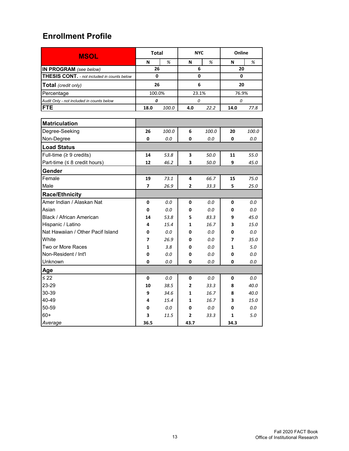| <b>MSOL</b>                                        | <b>Total</b> |       | <b>NYC</b>     |       | Online |       |
|----------------------------------------------------|--------------|-------|----------------|-------|--------|-------|
|                                                    | N            | %     | N              | %     | N      | %     |
| IN PROGRAM (see below)                             | 26           |       | 6              |       | 20     |       |
| <b>THESIS CONT.</b> - not included in counts below | 0            |       | 0              |       | 0      |       |
| <b>Total</b> (credit only)                         | 26           |       | 6              |       | 20     |       |
| Percentage                                         | 100.0%       |       | 23.1%          |       | 76.9%  |       |
| Audit Only - not included in counts below          | 0            |       | 0              |       | 0      |       |
| <b>FTE</b>                                         | 18.0         | 100.0 | 4.0            | 22.2  | 14.0   | 77.8  |
|                                                    |              |       |                |       |        |       |
| <b>Matriculation</b>                               |              |       |                |       |        |       |
| Degree-Seeking                                     | 26           | 100.0 | 6              | 100.0 | 20     | 100.0 |
| Non-Degree                                         | 0            | 0.0   | 0              | 0.0   | 0      | 0.0   |
| <b>Load Status</b>                                 |              |       |                |       |        |       |
| Full-time $(≥ 9$ credits)                          | 14           | 53.8  | 3              | 50.0  | 11     | 55.0  |
| Part-time ( $\leq 8$ credit hours)                 | 12           | 46.2  | 3              | 50.0  | 9      | 45.0  |
| Gender                                             |              |       |                |       |        |       |
| Female                                             | 19           | 73.1  | 4              | 66.7  | 15     | 75.0  |
| Male                                               | 7            | 26.9  | 2              | 33.3  | 5      | 25.0  |
| <b>Race/Ethnicity</b>                              |              |       |                |       |        |       |
| Amer Indian / Alaskan Nat                          | 0            | 0.0   | 0              | 0.0   | 0      | 0.0   |
| Asian                                              | 0            | 0.0   | 0              | 0.0   | 0      | 0.0   |
| Black / African American                           | 14           | 53.8  | 5              | 83.3  | 9      | 45.0  |
| Hispanic / Latino                                  | 4            | 15.4  | 1              | 16.7  | 3      | 15.0  |
| Nat Hawaiian / Other Pacif Island                  | 0            | 0.0   | 0              | 0.0   | 0      | 0.0   |
| White                                              | 7            | 26.9  | 0              | 0.0   | 7      | 35.0  |
| Two or More Races                                  | 1            | 3.8   | 0              | 0.0   | 1      | 5.0   |
| Non-Resident / Int'l                               | 0            | 0.0   | 0              | 0.0   | 0      | 0.0   |
| Unknown                                            | 0            | 0.0   | 0              | 0.0   | 0      | 0.0   |
| Age                                                |              |       |                |       |        |       |
| $\leq$ 22                                          | 0            | 0.0   | 0              | 0.0   | 0      | 0.0   |
| 23-29                                              | 10           | 38.5  | $\overline{2}$ | 33.3  | 8      | 40.0  |
| 30-39                                              | 9            | 34.6  | 1              | 16.7  | 8      | 40.0  |
| 40-49                                              | 4            | 15.4  | 1              | 16.7  | 3      | 15.0  |
| 50-59                                              | 0            | 0.0   | 0              | 0.0   | 0      | 0.0   |
| $60+$                                              | 3            | 11.5  | 2              | 33.3  | 1      | 5.0   |
| Average                                            | 36.5         |       | 43.7           |       | 34.3   |       |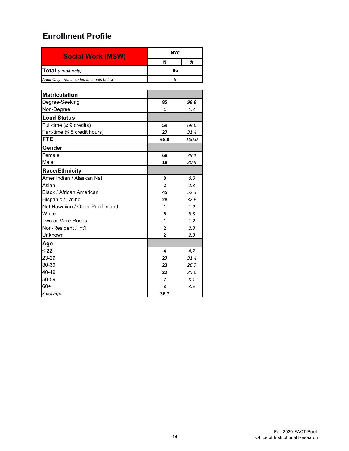| <b>Social Work (MSW)</b>                  | <b>NYC</b>     |              |
|-------------------------------------------|----------------|--------------|
|                                           | N              | %            |
| Total (credit only)                       | 86             |              |
| Audit Only - not included in counts below | 6              |              |
|                                           |                |              |
| <b>Matriculation</b>                      |                |              |
| Degree-Seeking                            | 85             | 98.8         |
| Non-Degree                                | 1              | 1.2          |
| <b>Load Status</b>                        |                |              |
| Full-time ( $\geq 9$ credits)             | 59             | 68.6         |
| Part-time ( $\leq 8$ credit hours)        | 27             | 31.4         |
| <b>FTE</b>                                | 68.0           | <i>100.0</i> |
| Gender                                    |                |              |
| Female                                    | 68             | 79.1         |
| Male                                      | 18             | 20.9         |
| <b>Race/Ethnicity</b>                     |                |              |
| Amer Indian / Alaskan Nat                 | 0              | 0.0          |
| Asian                                     | $\overline{2}$ | 2.3          |
| Black / African American                  | 45             | 52.3         |
| Hispanic / Latino                         | 28             | 32.6         |
| Nat Hawaiian / Other Pacif Island         | $\mathbf{1}$   | 1.2          |
| White                                     | 5              | 5.8          |
| Two or More Races                         | 1              | 1.2          |
| Non-Resident / Int'l                      | $\overline{2}$ | 2.3          |
| Unknown                                   | 2              | 2.3          |
| Age                                       |                |              |
| $\leq 22$                                 | 4              | 4.7          |
| 23-29                                     | 27             | 31.4         |
| 30-39                                     | 23             | 26.7         |
| 40-49                                     | 22             | 25.6         |
| 50-59                                     | 7              | 8.1          |
| $60+$                                     | 3              | 3.5          |
| Average                                   | 36.7           |              |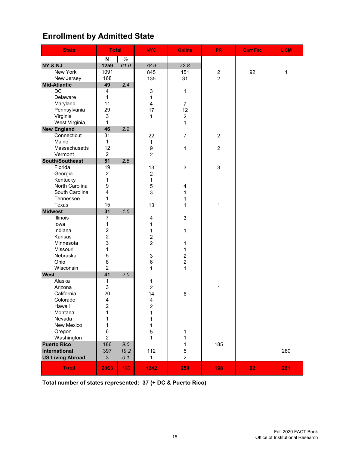# **Enrollment by Admitted State**

| <b>State</b>            | <b>Total</b>            |      | <b>NYC</b>     | <b>Online</b>           | PR_              | <b>Corr Fac</b> | <b>LICM</b> |
|-------------------------|-------------------------|------|----------------|-------------------------|------------------|-----------------|-------------|
|                         | N                       | $\%$ |                |                         |                  |                 |             |
| NY & NJ                 | 1259                    | 61.0 | 78.9           | 72.8                    |                  |                 |             |
| <b>New York</b>         | 1091                    |      | 845            | 151                     | $\boldsymbol{2}$ | 92              | 1           |
| New Jersey              | 168                     |      | 135            | 31                      | $\overline{2}$   |                 |             |
| <b>Mid-Atlantic</b>     | 49                      | 2.4  |                |                         |                  |                 |             |
| $\overline{DC}$         | 4                       |      | 3              | $\mathbf{1}$            |                  |                 |             |
| Delaware                | 1                       |      | 1              |                         |                  |                 |             |
| Maryland                | 11                      |      | 4              | $\overline{7}$          |                  |                 |             |
| Pennsylvania            | 29                      |      | 17             | 12                      |                  |                 |             |
| Virginia                | 3                       |      | 1              | $\overline{2}$          |                  |                 |             |
| West Virginia           | $\mathbf{1}$            |      |                | $\mathbf{1}$            |                  |                 |             |
| <b>New England</b>      | 46                      | 2.2  |                |                         |                  |                 |             |
| Connecticut             | 31                      |      | 22             | $\overline{7}$          | $\overline{c}$   |                 |             |
| Maine                   | 1                       |      | $\mathbf{1}$   |                         |                  |                 |             |
| Massachusetts           | 12                      |      | 9              | $\mathbf{1}$            | $\overline{c}$   |                 |             |
| Vermont                 | $\overline{2}$          |      | $\overline{2}$ |                         |                  |                 |             |
| South/Southeast         | 51                      | 2.5  |                |                         |                  |                 |             |
| Florida                 | 19                      |      | 13             | 3                       | $\sqrt{3}$       |                 |             |
| Georgia                 | $\overline{c}$          |      | $\overline{c}$ |                         |                  |                 |             |
| Kentucky                | $\mathbf 1$             |      | 1              |                         |                  |                 |             |
| North Carolina          | 9                       |      | 5              | $\overline{\mathbf{4}}$ |                  |                 |             |
| South Carolina          | $\overline{\mathbf{4}}$ |      | 3              | $\mathbf{1}$            |                  |                 |             |
| Tennessee               | 1                       |      |                | 1                       |                  |                 |             |
| Texas                   | 15                      |      | 13             | 1                       | $\mathbf{1}$     |                 |             |
| <b>Midwest</b>          | 31                      | 1.5  |                |                         |                  |                 |             |
| <b>Illinois</b>         | $\overline{7}$          |      | 4              | $\mathfrak{S}$          |                  |                 |             |
| lowa                    | 1                       |      | 1              |                         |                  |                 |             |
| Indiana                 | $\overline{\mathbf{c}}$ |      | 1              | $\mathbf{1}$            |                  |                 |             |
| Kansas                  | $\overline{c}$          |      | $\overline{c}$ |                         |                  |                 |             |
| Minnesota               | 3                       |      | $\overline{2}$ | $\mathbf 1$             |                  |                 |             |
| Missouri                | $\mathbf 1$             |      |                | $\mathbf{1}$            |                  |                 |             |
| Nebraska                | $\mathbf 5$             |      | 3              | $\overline{2}$          |                  |                 |             |
| Ohio                    | $\bf 8$                 |      | 6              | $\overline{2}$          |                  |                 |             |
| Wisconsin               | $\overline{c}$          |      | 1              | $\mathbf{1}$            |                  |                 |             |
| <b>West</b>             | 41                      | 2.0  |                |                         |                  |                 |             |
| Alaska                  | 1                       |      | 1              |                         |                  |                 |             |
| Arizona                 | 3                       |      | $\overline{c}$ |                         | 1                |                 |             |
| California              | 20                      |      | 14             | 6                       |                  |                 |             |
| Colorado                | $\overline{\mathbf{4}}$ |      | 4              |                         |                  |                 |             |
| Hawaii                  | 2                       |      | 2              |                         |                  |                 |             |
| Montana                 | 1                       |      | 1              |                         |                  |                 |             |
| Nevada                  | 1                       |      | 1              |                         |                  |                 |             |
| New Mexico              | 1                       |      | 1              |                         |                  |                 |             |
| Oregon                  | $\,6$                   |      | 5              | 1                       |                  |                 |             |
| Washington              | $\overline{c}$          |      | $\mathbf{1}$   | 1                       |                  |                 |             |
| <b>Puerto Rico</b>      | 186                     | 9.0  |                | 1                       | 185              |                 |             |
| International           | 397                     | 19.2 | 112            | $\mathbf 5$             |                  |                 | 280         |
| <b>US Living Abroad</b> | 3                       | 0.1  | 1              | $\overline{2}$          |                  |                 |             |
| <b>Total</b>            | 2063                    | 100  | 1242           | 250                     | 198              | 92              | 281         |

**Total number of states represented: 37 (+ DC & Puerto Rico)**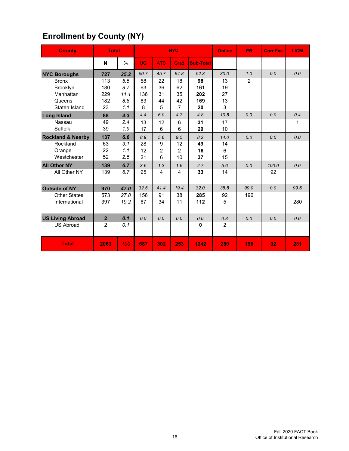# **Enrollment by County (NY)**

| <b>County</b>                | <b>Total</b>   |      |           |                | <b>NYC</b>     |                  | <b>Online</b>  | <b>PR</b> | <b>Corr Fac</b> | <b>LICM</b> |
|------------------------------|----------------|------|-----------|----------------|----------------|------------------|----------------|-----------|-----------------|-------------|
|                              | N              | %    | <b>UG</b> | <b>ATS</b>     | Grad           | <b>Sub-Total</b> |                |           |                 |             |
| <b>NYC Boroughs</b>          | 727            | 35.2 | 50.7      | 45.7           | 64.8           | 52.3             | 30.0           | 1.0       | 0.0             | 0.0         |
| <b>Bronx</b>                 | 113            | 5.5  | 58        | 22             | 18             | 98               | 13             | 2         |                 |             |
| Brooklyn                     | 180            | 8.7  | 63        | 36             | 62             | 161              | 19             |           |                 |             |
| Manhattan                    | 229            | 11.1 | 136       | 31             | 35             | 202              | 27             |           |                 |             |
| Queens                       | 182            | 8.8  | 83        | 44             | 42             | 169              | 13             |           |                 |             |
| Staten Island                | 23             | 1.1  | 8         | 5              | 7              | 20               | 3              |           |                 |             |
| <b>Long Island</b>           | 88             | 4.3  | 4.4       | 6.0            | 4.7            | 4.8              | 10.8           | 0.0       | 0.0             | 0.4         |
| Nassau                       | 49             | 2.4  | 13        | 12             | 6              | 31               | 17             |           |                 | 1           |
| Suffolk                      | 39             | 1.9  | 17        | 6              | 6              | 29               | 10             |           |                 |             |
| <b>Rockland &amp; Nearby</b> | 137            | 6.6  | 8.9       | 5.6            | 9.5            | 8.2              | 14.0           | 0.0       | 0.0             | 0.0         |
| Rockland                     | 63             | 3.1  | 28        | 9              | 12             | 49               | 14             |           |                 |             |
| Orange                       | 22             | 1.1  | 12        | $\overline{2}$ | $\overline{2}$ | 16               | 6              |           |                 |             |
| Westchester                  | 52             | 2.5  | 21        | 6              | 10             | 37               | 15             |           |                 |             |
| <b>All Other NY</b>          | 139            | 6.7  | 3.6       | 1.3            | 1.6            | 2.7              | 5.6            | 0.0       | 100.0           | 0.0         |
| All Other NY                 | 139            | 6.7  | 25        | 4              | $\overline{4}$ | 33               | 14             |           | 92              |             |
| <b>Outside of NY</b>         | 970            | 47.0 | 32.5      | 41.4           | 19.4           | 32.0             | 38.8           | 99.0      | 0.0             | 99.6        |
| <b>Other States</b>          | 573            | 27.8 | 156       | 91             | 38             | 285              | 92             | 196       |                 |             |
| International                | 397            | 19.2 | 67        | 34             | 11             | 112              | 5              |           |                 | 280         |
| <b>US Living Abroad</b>      | $\overline{2}$ | 0.1  | 0.0       | 0.0            | 0.0            | 0.0              | 0.8            | 0.0       | 0.0             | 0.0         |
| <b>US Abroad</b>             | $\overline{2}$ | 0.1  |           |                |                | 0                | $\overline{2}$ |           |                 |             |
| <b>Total</b>                 | 2063           | 100  | 687       | 302            | 253            | 1242             | 250            | 198       | 92              | 281         |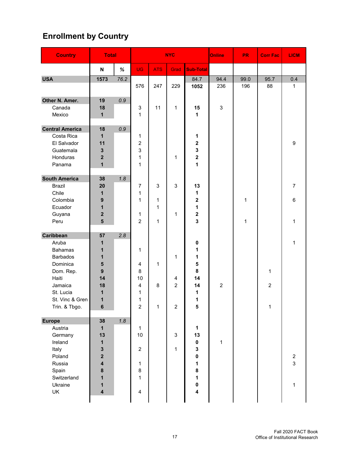# **Enrollment by Country**

| <b>Country</b>         | <b>Total</b>              |      |                         |              | <b>NYC</b>       |                         | <b>Online</b>  | <b>PR</b> | <b>Corr Fac</b> | <b>LICM</b>      |
|------------------------|---------------------------|------|-------------------------|--------------|------------------|-------------------------|----------------|-----------|-----------------|------------------|
|                        | $\boldsymbol{\mathsf{N}}$ | $\%$ | <b>UG</b>               | <b>ATS</b>   | Grad             | <b>Sub-Total</b>        |                |           |                 |                  |
| <b>USA</b>             | 1573                      | 76.2 |                         |              |                  | 84.7                    | 94.4           | 99.0      | 95.7            | 0.4              |
|                        |                           |      | 576                     | 247          | 229              | 1052                    | 236            | 196       | 88              | $\mathbf{1}$     |
| Other N. Amer.         | 19                        | 0.9  |                         |              |                  |                         |                |           |                 |                  |
| Canada                 | 18                        |      | 3                       | 11           | $\mathbf 1$      | 15                      | 3              |           |                 |                  |
| Mexico                 | 1                         |      | 1                       |              |                  | 1                       |                |           |                 |                  |
| <b>Central America</b> | 18                        | 0.9  |                         |              |                  |                         |                |           |                 |                  |
| Costa Rica             | 1                         |      | 1                       |              |                  | 1                       |                |           |                 |                  |
| El Salvador            | 11                        |      | $\overline{c}$          |              |                  | $\overline{\mathbf{2}}$ |                |           |                 | 9                |
| Guatemala              | 3                         |      | 3                       |              |                  | 3                       |                |           |                 |                  |
| Honduras               | $\overline{\mathbf{2}}$   |      | 1                       |              | 1                | $\overline{\mathbf{2}}$ |                |           |                 |                  |
| Panama                 | $\overline{\mathbf{1}}$   |      | 1                       |              |                  | $\mathbf 1$             |                |           |                 |                  |
| <b>South America</b>   | 38                        | 1.8  |                         |              |                  |                         |                |           |                 |                  |
| <b>Brazil</b>          | 20                        |      | $\overline{7}$          | $\mathbf{3}$ | 3                | 13                      |                |           |                 | $\boldsymbol{7}$ |
| Chile                  | 1                         |      | $\mathbf{1}$            |              |                  | 1                       |                |           |                 |                  |
| Colombia               | 9                         |      | $\mathbf{1}$            | 1            |                  | 2                       |                | 1         |                 | $\,6\,$          |
| Ecuador                | 1                         |      |                         | $\mathbf{1}$ |                  | 1                       |                |           |                 |                  |
| Guyana                 | $\overline{\mathbf{2}}$   |      | 1                       |              | 1                | $\mathbf 2$             |                |           |                 |                  |
| Peru                   | 5                         |      | $\overline{2}$          | $\mathbf{1}$ |                  | 3                       |                | 1         |                 | $\mathbf{1}$     |
| <b>Caribbean</b>       | 57                        | 2.8  |                         |              |                  |                         |                |           |                 |                  |
| Aruba                  | 1                         |      |                         |              |                  | 0                       |                |           |                 | $\mathbf 1$      |
| <b>Bahamas</b>         | 1                         |      | $\mathbf{1}$            |              |                  | 1                       |                |           |                 |                  |
| <b>Barbados</b>        | 1                         |      |                         |              | 1                | 1                       |                |           |                 |                  |
| Dominica               | 5                         |      | 4                       | 1            |                  | 5                       |                |           |                 |                  |
| Dom. Rep.              | 9                         |      | 8                       |              |                  | 8                       |                |           | 1               |                  |
| Haiti                  | 14                        |      | 10                      |              | $\overline{4}$   | 14                      |                |           |                 |                  |
| Jamaica                | 18                        |      | 4                       | 8            | $\overline{c}$   | 14                      | $\overline{c}$ |           | $\overline{2}$  |                  |
| St. Lucia              | 1                         |      | 1                       |              |                  | 1                       |                |           |                 |                  |
| St. Vinc & Gren        | 1                         |      | 1                       |              |                  | 1                       |                |           |                 |                  |
| Trin. & Tbgo.          | 6                         |      | $\overline{2}$          | $\mathbf{1}$ | $\boldsymbol{2}$ | 5                       |                |           | $\mathbf{1}$    |                  |
| <b>Europe</b>          | 38                        | 1.8  |                         |              |                  |                         |                |           |                 |                  |
| Austria                | $\mathbf{1}$              |      | $\mathbf{1}$            |              |                  | $\mathbf{1}$            |                |           |                 |                  |
| Germany                | 13                        |      | 10                      |              | 3                | 13                      |                |           |                 |                  |
| Ireland                | 1                         |      |                         |              |                  | $\pmb{0}$               | $\mathbf{1}$   |           |                 |                  |
| Italy                  | 3                         |      | $\overline{2}$          |              | $\mathbf 1$      | 3                       |                |           |                 |                  |
| Poland                 | $\overline{\mathbf{2}}$   |      |                         |              |                  | 0                       |                |           |                 | $\overline{2}$   |
| Russia                 | $\overline{\mathbf{4}}$   |      | 1                       |              |                  | 1                       |                |           |                 | $\mathbf{3}$     |
| Spain                  | 8                         |      | 8                       |              |                  | 8                       |                |           |                 |                  |
| Switzerland            | 1                         |      | 1                       |              |                  | 1                       |                |           |                 |                  |
| Ukraine                | 1                         |      |                         |              |                  | $\pmb{0}$               |                |           |                 | $\mathbf{1}$     |
| UK                     | $\overline{\mathbf{4}}$   |      | $\overline{\mathbf{4}}$ |              |                  | 4                       |                |           |                 |                  |
|                        |                           |      |                         |              |                  |                         |                |           |                 |                  |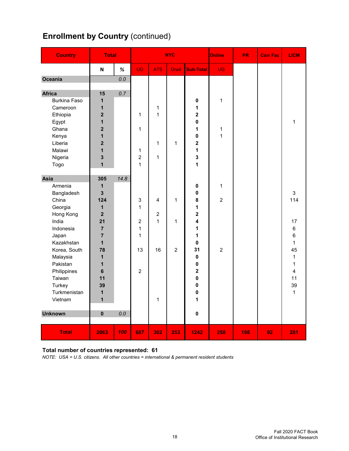# **Enrollment by Country (continued)**

| <b>Country</b>                       | <b>Total</b>              |      |                           |                | <b>NYC</b>     |                         | Online         | <b>PR</b> | <b>Corr Fac</b> | <b>LICM</b>    |
|--------------------------------------|---------------------------|------|---------------------------|----------------|----------------|-------------------------|----------------|-----------|-----------------|----------------|
|                                      | $\boldsymbol{\mathsf{N}}$ | $\%$ | <b>UG</b>                 | <b>ATS</b>     | Grad           | <b>Sub-Total</b>        | <b>UG</b>      |           |                 |                |
| <b>Oceania</b>                       |                           | 0.0  |                           |                |                |                         |                |           |                 |                |
|                                      |                           |      |                           |                |                |                         |                |           |                 |                |
| <b>Africa</b><br><b>Burkina Faso</b> | 15                        | 0.7  |                           |                |                |                         |                |           |                 |                |
| Cameroon                             | 1<br>1                    |      |                           | $\mathbf{1}$   |                | $\pmb{0}$<br>1          | 1              |           |                 |                |
| Ethiopia                             | $\overline{\mathbf{2}}$   |      | $\mathbf 1$               | $\mathbf{1}$   |                | $\overline{\mathbf{2}}$ |                |           |                 |                |
| Egypt                                | $\mathbf{1}$              |      |                           |                |                | $\mathbf 0$             |                |           |                 | $\mathbf{1}$   |
| Ghana                                | $\overline{\mathbf{2}}$   |      | $\mathbf{1}$              |                |                | 1                       | 1              |           |                 |                |
| Kenya                                | $\mathbf{1}$              |      |                           |                |                | $\mathbf 0$             | 1              |           |                 |                |
| Liberia                              | $\overline{2}$            |      |                           | 1              | 1              | $\overline{\mathbf{2}}$ |                |           |                 |                |
| Malawi                               | $\mathbf{1}$              |      | 1                         |                |                | 1                       |                |           |                 |                |
| Nigeria                              | 3                         |      | $\overline{a}$            | $\mathbf{1}$   |                | 3                       |                |           |                 |                |
| Togo                                 | $\overline{1}$            |      | $\mathbf{1}$              |                |                | 1                       |                |           |                 |                |
|                                      |                           |      |                           |                |                |                         |                |           |                 |                |
| Asia                                 | 305                       | 14.8 |                           |                |                |                         |                |           |                 |                |
| Armenia                              | $\mathbf{1}$              |      |                           |                |                | 0                       | $\mathbf{1}$   |           |                 |                |
| Bangladesh                           | $\overline{\mathbf{3}}$   |      |                           |                |                | 0                       |                |           |                 | 3              |
| China                                | 124                       |      | $\ensuremath{\mathsf{3}}$ | $\overline{4}$ | 1              | 8                       | $\overline{c}$ |           |                 | 114            |
| Georgia                              | $\mathbf{1}$              |      | 1                         |                |                | 1                       |                |           |                 |                |
| Hong Kong                            | $\overline{2}$            |      |                           | $\overline{2}$ |                | $\overline{\mathbf{2}}$ |                |           |                 |                |
| India                                | 21                        |      | $\boldsymbol{2}$          | $\mathbf{1}$   | 1              | 4                       |                |           |                 | 17             |
| Indonesia                            | $\overline{7}$            |      | $\mathbf 1$               |                |                | 1                       |                |           |                 | 6              |
| Japan                                | $\overline{7}$            |      | 1                         |                |                | 1                       |                |           |                 | 6              |
| Kazakhstan                           | 1                         |      |                           |                |                | 0                       |                |           |                 | $\mathbf{1}$   |
| Korea, South                         | 78                        |      | 13                        | 16             | $\overline{2}$ | 31                      | $\overline{2}$ |           |                 | 45             |
| Malaysia                             | $\mathbf{1}$              |      |                           |                |                | 0                       |                |           |                 | $\mathbf{1}$   |
| Pakistan                             | $\mathbf{1}$              |      |                           |                |                | $\mathbf 0$             |                |           |                 | $\mathbf{1}$   |
| Philippines                          | 6                         |      | $\overline{2}$            |                |                | $\overline{\mathbf{2}}$ |                |           |                 | $\overline{4}$ |
| Taiwan                               | 11                        |      |                           |                |                | $\mathbf 0$             |                |           |                 | 11             |
| Turkey                               | 39                        |      |                           |                |                | $\pmb{0}$               |                |           |                 | 39             |
| Turkmenistan                         | $\mathbf{1}$              |      |                           |                |                | $\pmb{0}$               |                |           |                 | $\mathbf{1}$   |
| Vietnam                              | $\overline{\mathbf{1}}$   |      |                           | $\mathbf{1}$   |                | 1                       |                |           |                 |                |
| <b>Unknown</b>                       | $\mathbf 0$               | 0.0  |                           |                |                | $\pmb{0}$               |                |           |                 |                |
| <b>Total</b>                         | 2063                      | 100  | 687                       | 302            | 253            | 1242                    | 250            | 198       | 92              | 281            |

#### **Total number of countries represented: 61**

*NOTE: USA = U.S. citizens. All other countries = international & permanent resident students*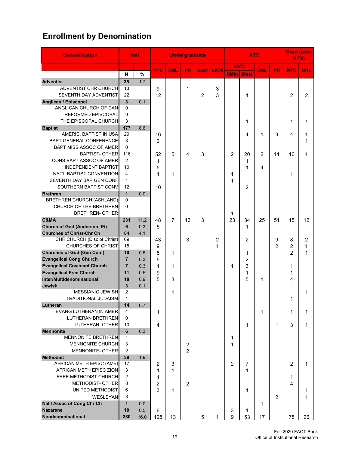# **Enrollment by Denomination**

| <b>Denomination</b>                             |                    | Inst       |                |                | <b>Undergraduate</b> |      |             | <b>ATS</b>     |                |                |                | <b>Grad (non-</b><br>ATS) |                |
|-------------------------------------------------|--------------------|------------|----------------|----------------|----------------------|------|-------------|----------------|----------------|----------------|----------------|---------------------------|----------------|
|                                                 |                    |            | <b>NYC</b>     | <b>ONL</b>     | <b>PR</b>            | Corr | <b>LICM</b> | <b>NYC</b>     |                | ONL            | PR.            | <b>NYC</b>                | ONL            |
|                                                 | N                  | $\%$       |                |                |                      |      |             | <b>DMin</b>    | <b>Mast</b>    |                |                |                           |                |
| <b>Adventist</b><br><b>ADVENTIST CHR CHURCH</b> | 35<br>13           | 1.7        | 9              |                | 1                    |      | 3           |                |                |                |                |                           |                |
| SEVENTH DAY ADVENTIST                           | 22                 |            | 12             |                |                      | 2    | 3           |                | 1              |                |                | 2                         | $\overline{2}$ |
| Anglican / Episcopal                            | $\mathbf{3}$       | 0.1        |                |                |                      |      |             |                |                |                |                |                           |                |
| ANGLICAN CHURCH OF CAN                          | $\Omega$           |            |                |                |                      |      |             |                |                |                |                |                           |                |
| <b>REFORMED EPISCOPAL</b>                       | $\Omega$           |            |                |                |                      |      |             |                |                |                |                |                           |                |
| THE EPISCOPAL CHURCH                            | 3                  |            |                |                |                      |      |             |                | 1              |                |                | 1                         | 1              |
| <b>Baptist</b>                                  | 177                | 8.6        |                |                |                      |      |             |                |                |                |                |                           |                |
| AMERIC. BAPTIST IN USA                          | 29                 |            | 16             |                |                      |      |             |                | 4              | 1              | 3              | 4                         | 1              |
| <b>BAPT GENERAL CONFERENCE</b>                  | 3                  |            | $\overline{2}$ |                |                      |      |             |                |                |                |                |                           | 1              |
| BAPT MISS ASSOC OF AMER                         | $\Omega$           |            |                |                |                      |      |             |                |                |                |                |                           |                |
| <b>BAPTIST- OTHER</b>                           | 116                |            | 52             | 5              | 4                    | 3    |             | $\overline{2}$ | 20             | $\overline{2}$ | 11             | 16                        | 1              |
| CONS BAPT ASSOC OF AMER                         | 2                  |            | 1              |                |                      |      |             |                | 1              |                |                |                           |                |
| <b>INDEPENDENT BAPTIST</b>                      | 10                 |            | 5              |                |                      |      |             |                | 1              | 4              |                |                           |                |
| NAT'L BAPTIST CONVENTION                        | 4                  |            | 1              | 1              |                      |      |             | 1              |                |                |                | 1                         |                |
| SEVENTH DAY BAP GEN CONF                        | $\mathbf{1}$       |            |                |                |                      |      |             | 1              |                |                |                |                           |                |
| SOUTHERN BAPTIST CONV<br><b>Brethren</b>        | 12<br>$\mathbf{1}$ | 0.0        | 10             |                |                      |      |             |                | 2              |                |                |                           |                |
| <b>BRETHREN CHURCH (ASHLAND)</b>                | $\Omega$           |            |                |                |                      |      |             |                |                |                |                |                           |                |
| CHURCH OF THE BRETHREN                          | $\mathbf 0$        |            |                |                |                      |      |             |                |                |                |                |                           |                |
| <b>BRETHREN- OTHER</b>                          | $\mathbf{1}$       |            |                |                |                      |      |             | 1              |                |                |                |                           |                |
| C&MA                                            | 231                | 11.2       | 48             | $\overline{7}$ | 13                   | 3    |             | 23             | 34             | 25             | 51             | 15                        | 12             |
| <b>Church of God (Anderson, IN)</b>             | 6                  | 0.3        | 5              |                |                      |      |             |                | $\mathbf 1$    |                |                |                           |                |
| <b>Churches of Christ-Chr Ch</b>                | 84                 | 4.1        |                |                |                      |      |             |                |                |                |                |                           |                |
| CHR CHURCH (Disc of Christ)                     | 69                 |            | 43             |                | 3                    |      | 2           |                | 2              |                | 9              | 8                         | 2              |
| <b>CHURCHES OF CHRIST</b>                       | 15                 |            | 9              |                |                      |      | 1           |                |                |                | $\overline{2}$ | $\overline{2}$            | 1              |
| <b>Churches of God (Gen Conf)</b>               | 10                 | 0.5        | 5              | 1              |                      |      |             |                | 1              |                |                | $\overline{2}$            | 1              |
| <b>Evangelical Cong Church</b>                  | $\overline{7}$     | 0.3        | 5              |                |                      |      |             |                | $\overline{2}$ |                |                |                           |                |
| <b>Evangelical Covenant Church</b>              | $\overline{7}$     | 0.3        | 1              | 1              |                      |      |             | 1              | 3              |                |                | 1                         |                |
| <b>Evangelical Free Church</b>                  | 11                 | 0.5        | 9              |                |                      |      |             |                | 1              |                |                | 1                         |                |
| Inter/Multidenominational                       | 18                 | 0.9        | 5              | 3              |                      |      |             |                | 5              | 1              |                | 4                         |                |
| Jewish                                          | 3                  | 0.1        |                |                |                      |      |             |                |                |                |                |                           |                |
| <b>MESSIANIC JEWISH</b>                         | $\overline{2}$     |            |                | 1              |                      |      |             |                |                |                |                |                           | 1              |
| <b>TRADITIONAL JUDAISM</b>                      | $\mathbf{1}$       |            |                |                |                      |      |             |                |                |                |                | 1                         |                |
| Lutheran<br>EVANG LUTHERAN IN AMER              | 14<br>4            | 0.7        | 1              |                |                      |      |             |                |                | 1              |                | 1                         | 1              |
| <b>LUTHERAN BRETHREN</b>                        | 0                  |            |                |                |                      |      |             |                |                |                |                |                           |                |
| <b>LUTHERAN- OTHER</b>                          | 10                 |            | 4              |                |                      |      |             |                | 1              |                | 1              | 3                         | 1              |
| <b>Mennonite</b>                                | 6                  | 0.3        |                |                |                      |      |             |                |                |                |                |                           |                |
| <b>MENNONITE BRETHREN</b>                       | $\mathbf{1}$       |            |                |                |                      |      |             | 1              |                |                |                |                           |                |
| <b>MENNONITE CHURCH</b>                         | 3                  |            |                |                | $\overline{c}$       |      |             | 1              |                |                |                |                           |                |
| <b>MENNONITE- OTHER</b>                         | $\overline{c}$     |            |                |                | $\overline{2}$       |      |             |                |                |                |                |                           |                |
| <b>Methodist</b>                                | 39                 | 1.9        |                |                |                      |      |             |                |                |                |                |                           |                |
| AFRICAN METH EPISC (AME)                        | 17                 |            | 2              | 3              |                      |      |             | 2              | 7              |                |                | 2                         | 1              |
| AFRICAN METH EPISC ZION                         | 3                  |            | 1              | 1              |                      |      |             |                | 1              |                |                |                           |                |
| FREE METHODIST CHURCH                           | 2                  |            | 1              |                |                      |      |             |                |                |                |                | 1                         |                |
| <b>METHODIST- OTHER</b>                         | 8                  |            | 2              |                | $\overline{c}$       |      |             |                |                |                |                | 4                         |                |
| UNITED METHODIST                                | 6                  |            | 3              | 1              |                      |      |             |                | 1              |                |                |                           | 1              |
| WESLEYAN<br>Nat'l Assoc of Cong Chr Ch          | 3<br>$\mathbf{1}$  |            |                |                |                      |      |             |                |                |                | $\overline{c}$ |                           | 1              |
| <b>Nazarene</b>                                 | 10                 | 0.0<br>0.5 | 6              |                |                      |      |             | 3              | 1              | 1              |                |                           |                |
| Nondenominational                               | 330                | 16.0       | 128            | 13             |                      | 5    | 1           | 9              | 53             | 17             |                | 78                        | 26             |
|                                                 |                    |            |                |                |                      |      |             |                |                |                |                |                           |                |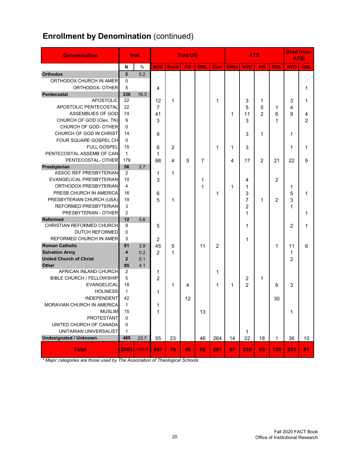# **Enrollment by Denomination** (continued)

| <b>Denomination</b>              |                         | Inst  |                |             | <b>Trad UG</b> |     |      | <b>ATS</b>  |                         |                | <b>Grad (non-</b><br>ATS) |                |                |
|----------------------------------|-------------------------|-------|----------------|-------------|----------------|-----|------|-------------|-------------------------|----------------|---------------------------|----------------|----------------|
|                                  | $\mathbf N$             | $\%$  | <b>NYC</b>     | <b>Rock</b> | PR             | ONL | Corr | <b>DMin</b> | <b>NYC</b>              | <b>PR</b>      | ONL                       | <b>NYC</b>     | ONL            |
| <b>Orthodox</b>                  | 5                       | 0.2   |                |             |                |     |      |             |                         |                |                           |                |                |
| ORTHODOX CHURCH IN AMER          | 0                       |       |                |             |                |     |      |             |                         |                |                           |                |                |
| ORTHODOX- OTHER                  | 5                       |       | 4              |             |                |     |      |             |                         |                |                           |                | 1              |
| <b>Pentecostal</b>               | 336                     | 16.3  |                |             |                |     |      |             |                         |                |                           |                |                |
| <b>APOSTOLIC</b>                 | 22                      |       | 12             | 1           |                |     | 1    |             | 3                       | 1              |                           | 3              | 1              |
| APOSTOLIC PENTECOSTAL            | 22                      |       | 7              |             |                |     |      |             | 5                       | 5              | 1                         | 4              |                |
| ASSEMBLIES OF GOD                | 74                      |       | 41             |             |                |     |      | 1           | 11                      | $\overline{2}$ | 6                         | 9              | 4              |
| CHURCH OF GOD (Clev, TN)         | 9                       |       | 3              |             |                |     |      |             | 3                       |                | 1                         |                | $\overline{2}$ |
| CHURCH OF GOD- OTHER             | $\Omega$                |       |                |             |                |     |      |             |                         |                |                           |                |                |
| CHURCH OF GOD IN CHRIST          | 14                      |       | 9              |             |                |     |      |             | 3                       | 1              |                           | 1              |                |
| FOUR SQUARE GOSPEL CH            | $\Omega$                |       |                |             |                |     |      |             |                         |                |                           |                |                |
| <b>FULL GOSPEL</b>               | 15                      |       | 6              | 2           |                |     | 1    | 1           | 3                       |                |                           | 1              | 1              |
| PENTECOSTAL ASSEMB OF CAN        | $\mathbf{1}$            |       | 1              |             |                |     |      |             |                         |                |                           |                |                |
| PENTECOSTAL- OTHER               | 179                     |       | 88             | 4           | 5              | 7   |      | 4           | 17                      | $\overline{2}$ | 21                        | 22             | 9              |
| Presbyterian                     | 56                      | 2.7   |                |             |                |     |      |             |                         |                |                           |                |                |
| <b>ASSOC REF PRESBYTERIAN</b>    | $\overline{2}$          |       | 1              | 1           |                |     |      |             |                         |                |                           |                |                |
| EVANGELICAL PRESBYTERIAN         | 10                      |       | 3              |             |                | 1   |      |             | 4                       |                | 2                         |                |                |
| ORTHODOX PRESBYTERIAN            | 4                       |       |                |             |                | 1   |      | 1           | 1                       |                |                           | 1              |                |
| PRESB CHURCH IN AMERICA          | 16                      |       | 6              |             |                |     | 1    |             | 3                       |                |                           | 5              | 1              |
| PRESBYTERIAN CHURCH (USA)        | 19                      |       | 5              | 1           |                |     |      |             | $\overline{7}$          | 1              | 2                         | 3              |                |
| REFORMED PRESBYTERIAN            | 3                       |       |                |             |                |     |      |             | 2                       |                |                           | 1              |                |
| PRESBYTERIAN - OTHER             | 2                       |       |                |             |                |     |      |             | 1                       |                |                           |                | 1              |
| <b>Reformed</b>                  | 12                      | 0.6   |                |             |                |     |      |             |                         |                |                           |                |                |
| CHRISTIAN REFORMED CHURCH        | 9                       |       | 5              |             |                |     |      |             | 1                       |                |                           | 2              | 1              |
| <b>DUTCH REFORMED</b>            | 0                       |       |                |             |                |     |      |             |                         |                |                           |                |                |
| REFORMED CHURCH IN AMER          | 3                       |       | 2              |             |                |     |      |             | 1                       |                |                           |                |                |
| <b>Roman Catholic</b>            | 81                      | 3.9   | 45             | 5           |                | 11  | 2    |             |                         |                | 1                         | 11             | 6              |
| <b>Salvation Army</b>            | $\overline{\mathbf{4}}$ | 0.2   | 2              | 1           |                |     |      |             |                         |                |                           | 1              |                |
| <b>United Church of Christ</b>   | $\overline{2}$          | 0.1   |                |             |                |     |      |             |                         |                |                           | $\overline{2}$ |                |
| <b>Other</b>                     | 85                      | 4.1   |                |             |                |     |      |             |                         |                |                           |                |                |
| AFRICAN INLAND CHURCH            | $\overline{2}$          |       | 1              |             |                |     | 1    |             |                         |                |                           |                |                |
| <b>BIBLE CHURCH / FELLOWSHIP</b> | 5                       |       | $\overline{2}$ |             |                |     |      |             | $\overline{\mathbf{c}}$ | 1              |                           |                |                |
| EVANGELICAL                      | 18                      |       |                | 1           | 4              |     | 1    | 1           | $\overline{2}$          |                | 6                         | 3              |                |
| <b>HOLINESS</b>                  | $\mathbf{1}$            |       |                |             |                |     |      |             |                         |                |                           |                |                |
| <b>INDEPENDENT</b>               | 42                      |       | 1              |             |                |     |      |             |                         |                |                           |                |                |
| MORAVIAN CHURCH IN AMERICA       |                         |       |                |             | 12             |     |      |             |                         |                | 30                        |                |                |
|                                  | 1                       |       | 1              |             |                |     |      |             |                         |                |                           |                |                |
| <b>MUSLIM</b>                    | 15                      |       | 1              |             |                | 13  |      |             |                         |                |                           | 1              |                |
| <b>PROTESTANT</b>                | 0                       |       |                |             |                |     |      |             |                         |                |                           |                |                |
| UNITED CHURCH OF CANADA          | 0                       |       |                |             |                |     |      |             |                         |                |                           |                |                |
| UNITARIAN UNIVERSALIST           | 1                       |       |                |             |                |     |      |             | 1                       |                |                           |                |                |
| <b>Undesignated / Unknown</b>    | 489                     | 23.7  | 55             | 23          |                | 46  | 264  | 14          | 22                      | 18             | 1                         | 36             | 10             |
| <b>Total</b>                     | 2063                    | 100.0 | 687            | 76          | 48             | 92  | 281  | 67          | 235                     | 83             | 150                       | 253            | 91             |

*\* Major categories are those used by The Association of Theological Schools*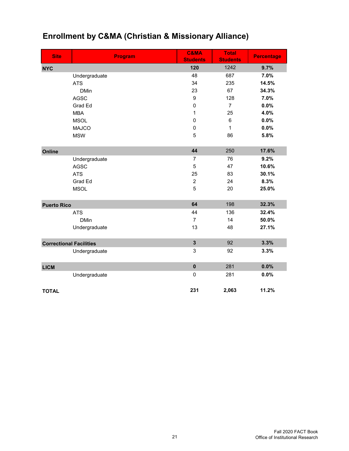| <b>Site</b>                    | <b>Program</b> | <b>C&amp;MA</b><br><b>Students</b> | <b>Total</b><br><b>Students</b> | <b>Percentage</b> |
|--------------------------------|----------------|------------------------------------|---------------------------------|-------------------|
| <b>NYC</b>                     |                | 120                                | 1242                            | 9.7%              |
|                                | Undergraduate  | 48                                 | 687                             | 7.0%              |
|                                | <b>ATS</b>     | 34                                 | 235                             | 14.5%             |
|                                | <b>DMin</b>    | 23                                 | 67                              | 34.3%             |
|                                | <b>AGSC</b>    | $\boldsymbol{9}$                   | 128                             | 7.0%              |
|                                | Grad Ed        | $\mathbf 0$                        | $\overline{7}$                  | 0.0%              |
|                                | <b>MBA</b>     | 1                                  | 25                              | 4.0%              |
|                                | <b>MSOL</b>    | $\pmb{0}$                          | $\,6\,$                         | 0.0%              |
|                                | <b>MAJCO</b>   | $\mathbf 0$                        | 1                               | 0.0%              |
|                                | <b>MSW</b>     | 5                                  | 86                              | 5.8%              |
| Online                         |                | 44                                 | 250                             | 17.6%             |
|                                | Undergraduate  | 7                                  | 76                              | 9.2%              |
|                                | <b>AGSC</b>    | 5                                  | 47                              | 10.6%             |
|                                | <b>ATS</b>     | 25                                 | 83                              | 30.1%             |
|                                | Grad Ed        | $\overline{2}$                     | 24                              | 8.3%              |
|                                | <b>MSOL</b>    | 5                                  | 20                              | 25.0%             |
| <b>Puerto Rico</b>             |                | 64                                 | 198                             | 32.3%             |
|                                | <b>ATS</b>     | 44                                 | 136                             | 32.4%             |
|                                | <b>DMin</b>    | $\overline{7}$                     | 14                              | 50.0%             |
|                                | Undergraduate  | 13                                 | 48                              | 27.1%             |
| <b>Correctional Facilities</b> |                | $\overline{\mathbf{3}}$            | 92                              | 3.3%              |
|                                | Undergraduate  | 3                                  | 92                              | 3.3%              |
| <b>LICM</b>                    |                | $\pmb{0}$                          | 281                             | 0.0%              |
|                                | Undergraduate  | $\mathbf 0$                        | 281                             | 0.0%              |
| <b>TOTAL</b>                   |                | 231                                | 2,063                           | 11.2%             |

# **Enrollment by C&MA (Christian & Missionary Alliance)**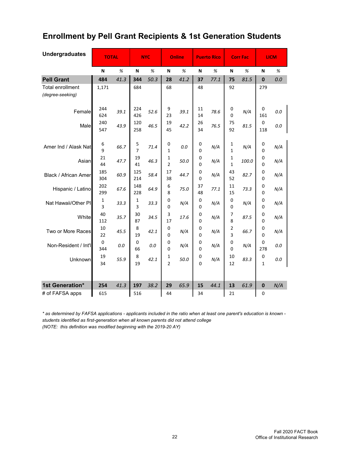# **Enrollment by Pell Grant Recipients & 1st Generation Students**

| <b>Undergraduates</b>                       | <b>TOTAL</b> |         |                     | <b>NYC</b> |                     | <b>Online</b> |               | <b>Puerto Rico</b> |                   | <b>Corr Fac</b> |                           | <b>LICM</b> |
|---------------------------------------------|--------------|---------|---------------------|------------|---------------------|---------------|---------------|--------------------|-------------------|-----------------|---------------------------|-------------|
|                                             | N            | %       | N                   | %          | N                   | %             | N             | %                  | N                 | %               | N                         | %           |
| <b>Pell Grant</b>                           | 484          | 41.3    | 344                 | 50.3       | 28                  | 41.2          | 37            | 77.1               | 75                | 81.5            | $\mathbf 0$               | 0.0         |
| <b>Total enrollment</b><br>(degree-seeking) | 1,171        |         | 684                 |            | 68                  |               | 48            |                    | 92                |                 | 279                       |             |
| Female                                      | 244<br>624   | 39.1    | 224<br>426          | 52.6       | 9<br>23             | 39.1          | 11<br>14      | 78.6               | 0<br>0            | N/A             | $\mathbf 0$<br>161        | 0.0         |
| Male                                        | 240<br>547   | 43.9    | 120<br>258          | 46.5       | 19<br>45            | 42.2          | 26<br>34      | 76.5               | 75<br>92          | 81.5            | $\mathbf 0$<br>118        | 0.0         |
| Amer Ind / Alask Nat                        | 6<br>9       | 66.7    | 5<br>$\overline{7}$ | 71.4       | 0<br>$\mathbf{1}$   | 0.0           | 0<br>0        | N/A                | 1<br>$\mathbf 1$  | N/A             | 0<br>$\Omega$             | N/A         |
| Asian                                       | 21<br>44     | 47.7    | 19<br>41            | 46.3       | 1<br>$\overline{2}$ | 50.0          | 0<br>0        | N/A                | 1<br>$\mathbf{1}$ | 100.0           | $\mathbf 0$<br>0          | N/A         |
| Black / African Amer                        | 185<br>304   | 60.9    | 125<br>214          | 58.4       | 17<br>38            | 44.7          | 0<br>0        | N/A                | 43<br>52          | 82.7            | 0<br>0                    | N/A         |
| Hispanic / Latino                           | 202<br>299   | 67.6    | 148<br>228          | 64.9       | 6<br>8              | 75.0          | 37<br>48      | 77.1               | 11<br>15          | 73.3            | 0<br>0                    | N/A         |
| Nat Hawaii/Other PI                         | 1<br>3       | 33.3    | 1<br>3              | 33.3       | 0<br>0              | N/A           | 0<br>0        | N/A                | 0<br>0            | N/A             | 0<br>0                    | N/A         |
| White                                       | 40<br>112    | 35.7    | 30<br>87            | 34.5       | 3<br>17             | 17.6          | 0<br>0        | N/A                | 7<br>8            | 87.5            | $\mathbf 0$<br>0          | N/A         |
| Two or More Races                           | 10<br>22     | 45.5    | 8<br>19             | 42.1       | 0<br>$\Omega$       | N/A           | 0<br>0        | N/A                | 2<br>3            | 66.7            | 0<br>$\Omega$             | N/A         |
| Non-Resident / Int'l                        | 0<br>344     | $0.0\,$ | 0<br>66             | 0.0        | 0<br>0              | N/A           | 0<br>0        | N/A                | 0<br>0            | N/A             | 0<br>278                  | 0.0         |
| Unknown                                     | 19<br>34     | 55.9    | 8<br>19             | 42.1       | 1<br>$\overline{2}$ | 50.0          | 0<br>$\Omega$ | N/A                | 10<br>12          | 83.3            | $\pmb{0}$<br>$\mathbf{1}$ | 0.0         |
| 1st Generation*                             | 254          | 41.3    | 197                 | 38.2       | 29                  | 65.9          | 15            | 44.1               | 13                | 61.9            | $\bf{0}$                  | N/A         |
| # of FAFSA apps                             | 615          |         | 516                 |            | 44                  |               | 34            |                    | 21                |                 | 0                         |             |

*\* as determined by FAFSA applications - applicants included in the ratio when at least one parent's education is known students identified as first-generation when all known parents did not attend college (NOTE: this definition was modified beginning with the 2019-20 AY)*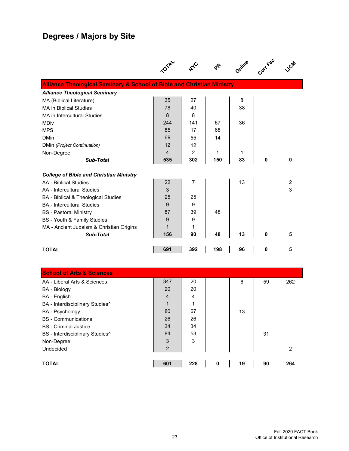# **Degrees / Majors by Site**

|                                                                                   | <b>,01AL</b>   |     |     | Online |   |                  |
|-----------------------------------------------------------------------------------|----------------|-----|-----|--------|---|------------------|
| <b>Alliance Theological Seminary &amp; School of Bible and Christian Ministry</b> |                |     |     |        |   |                  |
| <b>Alliance Theological Seminary</b>                                              |                |     |     |        |   |                  |
| MA (Biblical Literature)                                                          | 35             | 27  |     | 8      |   |                  |
| <b>MA in Biblical Studies</b>                                                     | 78             | 40  |     | 38     |   |                  |
| MA in Intercultural Studies                                                       | 8              | 8   |     |        |   |                  |
| <b>MDiv</b>                                                                       | 244            | 141 | 67  | 36     |   |                  |
| <b>MPS</b>                                                                        | 85             | 17  | 68  |        |   |                  |
| <b>DMin</b>                                                                       | 69             | 55  | 14  |        |   |                  |
| DMin (Project Continuation)                                                       | 12             | 12  |     |        |   |                  |
| Non-Degree                                                                        | $\overline{4}$ | 2   | 1   | 1      |   |                  |
| Sub-Total                                                                         | 535            | 302 | 150 | 83     | 0 | 0                |
| <b>College of Bible and Christian Ministry</b>                                    |                |     |     |        |   |                  |
| AA - Biblical Studies                                                             | 22             | 7   |     | 13     |   | $\boldsymbol{2}$ |
| AA - Intercultural Studies                                                        | 3              |     |     |        |   | 3                |
| BA - Biblical & Theological Studies                                               | 25             | 25  |     |        |   |                  |
| <b>BA</b> - Intercultural Studies                                                 | 9              | 9   |     |        |   |                  |
| <b>BS</b> - Pastoral Ministry                                                     | 87             | 39  | 48  |        |   |                  |
| BS - Youth & Family Studies                                                       | 9              | 9   |     |        |   |                  |
| MA - Ancient Judaism & Christian Origins                                          | 1              | 1   |     |        |   |                  |
| Sub-Total                                                                         | 156            | 90  | 48  | 13     | 0 | 5                |
| <b>TOTAL</b>                                                                      | 691            | 392 | 198 | 96     | 0 | 5                |

| <b>School of Arts &amp; Sciences</b>        |                |     |   |    |    |     |
|---------------------------------------------|----------------|-----|---|----|----|-----|
| AA - Liberal Arts & Sciences                | 347            | 20  |   | 6  | 59 | 262 |
| <b>BA</b> - Biology                         | 20             | 20  |   |    |    |     |
| BA - English                                | $\overline{4}$ | 4   |   |    |    |     |
| BA - Interdisciplinary Studies^             | 1              | 4   |   |    |    |     |
| <b>BA</b> - Psychology                      | 80             | 67  |   | 13 |    |     |
| <b>BS</b> - Communications                  | 26             | 26  |   |    |    |     |
| <b>BS</b> - Criminal Justice                | 34             | 34  |   |    |    |     |
| BS - Interdisciplinary Studies <sup>^</sup> | 84             | 53  |   |    | 31 |     |
| Non-Degree                                  | 3              | 3   |   |    |    |     |
| Undecided                                   | $\overline{2}$ |     |   |    |    | 2   |
|                                             |                |     |   |    |    |     |
| <b>TOTAL</b>                                | 601            | 228 | 0 | 19 | 90 | 264 |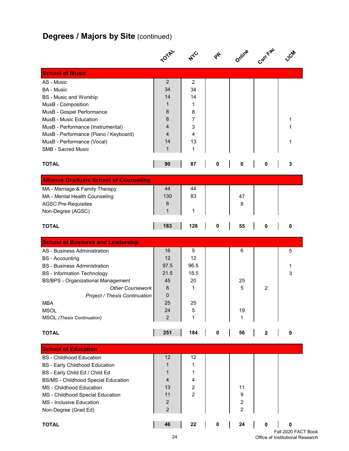# **Degrees / Majors by Site (continued)**

|                                                                            |                  |                     | $\gamma^2$  | Online                  | Corr Fac     |              |
|----------------------------------------------------------------------------|------------------|---------------------|-------------|-------------------------|--------------|--------------|
| <b>School of Music</b>                                                     |                  |                     |             |                         |              |              |
| AS - Music                                                                 | $\overline{2}$   | 2                   |             |                         |              |              |
| <b>BA</b> - Music                                                          | 34               | 34                  |             |                         |              |              |
| <b>BS</b> - Music and Worship                                              | 14               | 14                  |             |                         |              |              |
| MusB - Composition                                                         | 1                | 1                   |             |                         |              |              |
| MusB - Gospel Performance                                                  | 8<br>8           | 8<br>$\overline{7}$ |             |                         |              |              |
| MusB - Music Education                                                     | 4                | 3                   |             |                         |              | 1<br>1       |
| MusB - Performance (Instrumental)<br>MusB - Performance (Piano / Keyboard) | 4                | 4                   |             |                         |              |              |
| MusB - Performance (Vocal)                                                 | 14               | 13                  |             |                         |              | 1            |
| <b>SMB - Sacred Music</b>                                                  | $\mathbf{1}$     | 1                   |             |                         |              |              |
|                                                                            |                  |                     |             |                         |              |              |
| <b>TOTAL</b>                                                               | 90               | 87                  | $\mathbf 0$ | $\pmb{0}$               | 0            | 3            |
| <b>Alliance Graduate School of Counseling</b>                              |                  |                     |             |                         |              |              |
| MA - Marriage & Family Therapy                                             | 44               | 44                  |             |                         |              |              |
| MA - Mental Health Counseling                                              | 130              | 83                  |             | 47                      |              |              |
| <b>AGSC Pre-Requisites</b>                                                 | 8                |                     |             | 8                       |              |              |
| Non-Degree (AGSC)                                                          | $\mathbf{1}$     | 1                   |             |                         |              |              |
| <b>TOTAL</b>                                                               | 183              | 128                 | 0           | 55                      | 0            | 0            |
| <b>School of Business and Leadership</b>                                   |                  |                     |             |                         |              |              |
| AS - Business Administration                                               | 16               | 5                   |             | 6                       |              | 5            |
| <b>BS</b> - Accounting                                                     | 12               | 12                  |             |                         |              |              |
| <b>BS</b> - Business Administration                                        | 97.5             | 96.5                |             |                         |              | 1            |
| <b>BS</b> - Information Technology                                         | 21.5             | 18.5                |             |                         |              | 3            |
| <b>BS/BPS - Organizational Management</b>                                  | 45               | 20                  |             | 25                      |              |              |
| <b>Other Coursework</b>                                                    | 8                | 1                   |             | 5                       | 2            |              |
| Project / Thesis Continuation                                              | 0                |                     |             |                         |              |              |
| <b>MBA</b>                                                                 | 25<br>24         | 25                  |             |                         |              |              |
| <b>MSOL</b><br><b>MSOL</b> (Thesis Continuation)                           | $\overline{2}$   | 5<br>1              |             | 19<br>1                 |              |              |
|                                                                            |                  |                     |             |                         |              |              |
| <b>TOTAL</b>                                                               | 251              | 184                 | $\pmb{0}$   | 56                      | $\mathbf{2}$ | 9            |
| <b>School of Education</b>                                                 |                  |                     |             |                         |              |              |
| <b>BS</b> - Childhood Education                                            | 12               | 12                  |             |                         |              |              |
| <b>BS</b> - Early Childhood Education                                      | 1                | 1                   |             |                         |              |              |
| BS - Early Child Ed / Child Ed                                             | 1                | 1                   |             |                         |              |              |
| <b>BS/MS - Childhood Special Education</b>                                 | 4                | 4                   |             |                         |              |              |
| MS - Childhood Education                                                   | 13               | $\overline{c}$      |             | 11                      |              |              |
| MS - Childhood Special Education                                           | 11               | $\overline{c}$      |             | 9                       |              |              |
| MS - Inclusive Education                                                   | $\boldsymbol{2}$ |                     |             | $\overline{\mathbf{c}}$ |              |              |
| Non-Degree (Grad Ed)                                                       | $\overline{2}$   |                     |             | $\overline{c}$          |              |              |
| <b>TOTAL</b>                                                               | 46               | 22                  | $\pmb{0}$   | 24                      | $\pmb{0}$    | 0<br>י⊐ חרחר |

Fall 2020 FACT Book Office of Institutional Research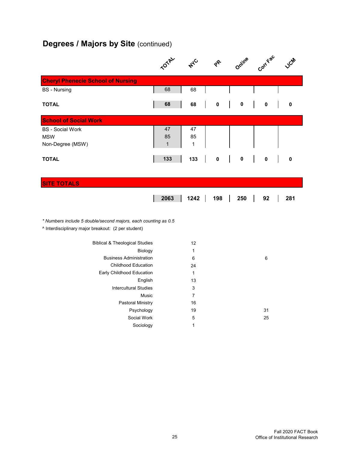# **Degrees / Majors by Site (continued)**

|                                                                                                                       | <b>TOTAL</b>             | $A_{\mathcal{A}_{\mathcal{C}}}$ | ራ         | Online    | Corr Fac    | LICAN |
|-----------------------------------------------------------------------------------------------------------------------|--------------------------|---------------------------------|-----------|-----------|-------------|-------|
| <b>Cheryl Phenecie School of Nursing</b>                                                                              |                          |                                 |           |           |             |       |
| <b>BS</b> - Nursing                                                                                                   | 68                       | 68                              |           |           |             |       |
| <b>TOTAL</b>                                                                                                          | 68                       | 68                              | $\pmb{0}$ | 0         | 0           | 0     |
| <b>School of Social Work</b>                                                                                          |                          |                                 |           |           |             |       |
| <b>BS</b> - Social Work<br><b>MSW</b><br>Non-Degree (MSW)                                                             | 47<br>85<br>$\mathbf{1}$ | 47<br>85<br>1                   |           |           |             |       |
| <b>TOTAL</b>                                                                                                          | 133                      | 133                             | $\pmb{0}$ | $\pmb{0}$ | $\mathbf 0$ | 0     |
| <b>SITE TOTALS</b>                                                                                                    |                          |                                 |           |           |             |       |
|                                                                                                                       | 2063                     | 1242                            | 198       | 250       | 92          | 281   |
| * Numbers include 5 double/second majors, each counting as 0.5<br>^ Interdisciplinary major breakout: (2 per student) |                          |                                 |           |           |             |       |
| <b>Biblical &amp; Theological Studies</b>                                                                             |                          | 12                              |           |           |             |       |
| Biology                                                                                                               |                          | $\mathbf{1}$                    |           |           |             |       |
| <b>Business Administration</b>                                                                                        |                          | 6                               |           |           | $\,6\,$     |       |
| <b>Childhood Education</b>                                                                                            |                          | 24                              |           |           |             |       |
| Early Childhood Education                                                                                             |                          | $\mathbf{1}$                    |           |           |             |       |
| English                                                                                                               |                          | 13                              |           |           |             |       |
| <b>Intercultural Studies</b>                                                                                          |                          | 3<br>$\overline{7}$             |           |           |             |       |
| Music<br><b>Pastoral Ministry</b>                                                                                     |                          | 16                              |           |           |             |       |
| Psychology                                                                                                            |                          | 19                              |           |           | 31          |       |
| Social Work                                                                                                           |                          | 5                               |           |           | 25          |       |
| Sociology                                                                                                             |                          | $\mathbf{1}$                    |           |           |             |       |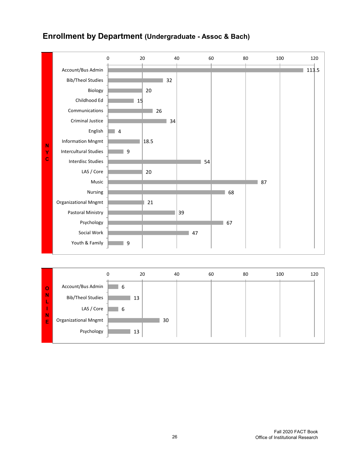

### **Enrollment by Department (Undergraduate - Assoc & Bach)**

|                             |    |    |    |    |    | 120       |
|-----------------------------|----|----|----|----|----|-----------|
| Account/Bus Admin           | 6  |    |    |    |    |           |
| <b>Bib/Theol Studies</b>    | 13 |    |    |    |    |           |
| LAS / Core                  | 6  |    |    |    |    |           |
| <b>Organizational Mngmt</b> |    | 30 |    |    |    |           |
| Psychology                  | 13 |    |    |    |    |           |
|                             |    | 0  | 20 | 40 | 60 | 80<br>100 |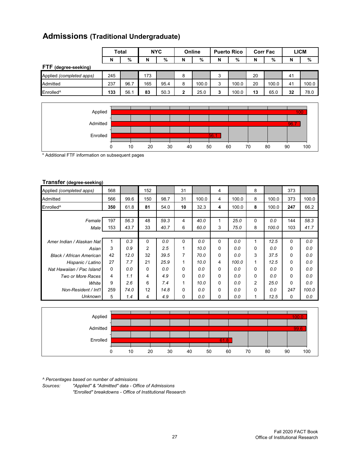### **Admissions (Traditional Undergraduate)**

|                          | <b>Total</b> |      | <b>NYC</b> |      | Online |       | <b>Puerto Rico</b> |       | <b>Corr Fac</b> |       | LICM |       |
|--------------------------|--------------|------|------------|------|--------|-------|--------------------|-------|-----------------|-------|------|-------|
|                          | N            | %    | N          | %    | N      | %     | N                  | %     | N               | %     | N    | %     |
| FTF (degree-seeking)     |              |      |            |      |        |       |                    |       |                 |       |      |       |
| Applied (completed apps) | 245          |      | 173        |      | 8      |       | 3                  |       | 20              |       | 41   |       |
| Admitted                 | 237          | 96.7 | 165        | 95.4 | 8      | 100.0 | 3                  | 100.0 | 20              | 100.0 | 41   | 100.0 |
| Enrolled <sup>^</sup>    | 133          | 56.1 | 83         | 50.3 | 2      | 25.0  | 3                  | 100.0 | 13              | 65.0  | 32   | 78.0  |



\* Additional FTF information on subsequent pages

#### **Transfer (degree-seeking)**

| Applied (completed apps)        | 568      |      | 152            |      | 31       |       | 4 |       | 8        |       | 373      |       |
|---------------------------------|----------|------|----------------|------|----------|-------|---|-------|----------|-------|----------|-------|
| Admitted                        | 566      | 99.6 | 150            | 98.7 | 31       | 100.0 | 4 | 100.0 | 8        | 100.0 | 373      | 100.0 |
| Enrolled <sup>^</sup>           | 350      | 61.8 | 81             | 54.0 | 10       | 32.3  | 4 | 100.0 | 8        | 100.0 | 247      | 66.2  |
|                                 |          |      |                |      |          |       |   |       |          |       |          |       |
| Female                          | 197      | 56.3 | 48             | 59.3 | 4        | 40.0  | 1 | 25.0  | $\Omega$ | 0.0   | 144      | 58.3  |
| Male                            | 153      | 43.7 | 33             | 40.7 | 6        | 60.0  | 3 | 75.0  | 8        | 100.0 | 103      | 41.7  |
|                                 |          |      |                |      |          |       |   |       |          |       |          |       |
| Amer Indian / Alaskan Nat       |          | 0.3  | $\Omega$       | 0.0  | $\Omega$ | 0.0   | 0 | 0.0   |          | 12.5  | $\Omega$ | 0.0   |
| Asian                           | 3        | 0.9  | $\overline{2}$ | 2.5  | 1        | 10.0  | 0 | 0.0   | $\Omega$ | 0.0   | $\Omega$ | 0.0   |
| <b>Black / African American</b> | 42       | 12.0 | 32             | 39.5 | 7        | 70.0  | 0 | 0.0   | 3        | 37.5  | 0        | 0.0   |
| Hispanic / Latino               | 27       | 7.7  | 21             | 25.9 | 1        | 10.0  | 4 | 100.0 | 1        | 12.5  | $\Omega$ | 0.0   |
| Nat Hawaiian / Pac Island       | $\Omega$ | 0.0  | $\Omega$       | 0.0  | $\Omega$ | 0.0   | 0 | 0.0   | $\Omega$ | 0.0   | $\Omega$ | 0.0   |
| Two or More Races               | 4        | 1.1  | 4              | 4.9  | $\Omega$ | 0.0   | 0 | 0.0   | $\Omega$ | 0.0   | $\Omega$ | 0.0   |
| White                           | 9        | 2.6  | 6              | 7.4  |          | 10.0  | 0 | 0.0   | 2        | 25.0  | 0        | 0.0   |
| Non-Resident / Int'l            | 259      | 74.0 | 12             | 14.8 | 0        | 0.0   | 0 | 0.0   | 0        | 0.0   | 247      | 100.0 |
| <b>Unknown</b>                  | 5        | 1.4  | 4              | 4.9  | 0        | 0.0   | 0 | 0.0   |          | 12.5  | 0        | 0.0   |



*^ Percentages based on number of admissions*

*Sources: "Applied" & "Admitted" data - Office of Admissions "Enrolled" breakdowns - Office of Institutional Research*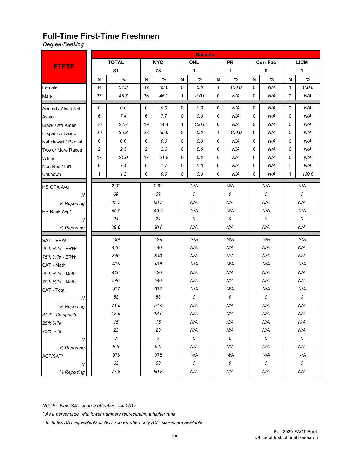#### **Full-Time First-Time Freshmen**

*Degree-Seeking*

|                        |             |                |    |                |            | <b>Bachelor</b> |              |           |          |                 |     |             |  |
|------------------------|-------------|----------------|----|----------------|------------|-----------------|--------------|-----------|----------|-----------------|-----|-------------|--|
|                        |             | <b>TOTAL</b>   |    | <b>NYC</b>     |            | <b>ONL</b>      |              | <b>PR</b> |          | <b>Corr Fac</b> |     | <b>LICM</b> |  |
| <b>FTFTF</b>           |             | 81             |    | 78             |            | 1               |              | 1         |          | $\pmb{0}$       |     | 1           |  |
|                        | N           | $\%$           | N  | $\%$           | N          | $\%$            | N            | $\%$      | N        | $\%$            | N   | $\%$        |  |
| Female                 | 44          | 54.3           | 42 | 53.8           | 0          | 0.0             | $\mathbf{1}$ | 100.0     | 0        | N/A             | 1   | 100.0       |  |
| Male                   | 37          | 45.7           | 36 | 46.2           | 1          | 100.0           | 0            | N/A       | 0        | N/A             | 0   | N/A         |  |
| Am Ind / Alask Nat     | $\mathbf 0$ | 0.0            | 0  | 0.0            | 0          | 0.0             | 0            | N/A       | 0        | N/A             | 0   | N/A         |  |
| Asian                  | 6           | 7.4            | 6  | 7.7            | 0          | 0.0             |              | N/A       | 0        | N/A             |     | N/A         |  |
| Black / Afr Amer       | 24.7<br>20  |                | 19 | 24.4           | 100.0<br>1 |                 | 0            | N/A       |          | N/A             | 0   | N/A         |  |
| Hispanic / Latino      | 29          | 35.8           | 28 | 35.9           | 0          | 0.0             | $\mathbf{1}$ | 100.0     | 0        | N/A             | 0   | N/A         |  |
| Nat Hawaii / Pac Isl   | 0           | $0.0\,$        | 0  | 0.0            | 0          | 0.0             | $\Omega$     | N/A       | 0        | N/A             | 0   | N/A         |  |
| Two or More Races      | 2           | 2.5            | 2  | 2.6            | 0          | 0.0             | $\Omega$     | N/A       | 0        | N/A             | 0   | N/A         |  |
| White                  | 17          | 21.0           | 17 | 21.8           | 0          | 0.0             | 0            | N/A       | 0        | N/A             | 0   | N/A         |  |
| Non-Res / Int'l        | 6           | 7.4            | 6  | 7.7            | 0          | 0.0             | $\Omega$     | N/A       | 0        | N/A             | 0   | N/A         |  |
| Unknown                | 1           | 1.2            | 0  | 0.0            | 0          | 0.0             | $\Omega$     | N/A       | 0        | N/A             | 1   | 100.0       |  |
| <b>HS GPA Avg</b>      |             | 2.92           |    | 2.92           |            | N/A             |              | N/A       |          | N/A             |     | N/A         |  |
| ${\cal N}$             |             | 69             |    | 69             |            | 0               |              | 0         |          | 0               |     | 0           |  |
| % Reporting            |             | 85.2           |    | 88.5           |            | N/A             |              | N/A       |          | N/A             |     | N/A         |  |
| HS Rank Avg*           |             | 45.9           |    | 45.9           |            | N/A             |              | N/A       |          | N/A             |     | N/A         |  |
| N                      |             | 24             |    | 24             |            | 0               |              | 0         |          | 0               |     | 0           |  |
| % Reporting            |             | 29.6           |    | 30.8           |            | N/A             |              | N/A       |          | N/A             |     | N/A         |  |
| <b>SAT - ERW</b>       |             | 499            |    | 499            |            | N/A             |              | N/A       |          | N/A             |     | N/A         |  |
| 25th %ile - ERW        |             | 440            |    | 440            |            | N/A             |              | N/A       |          | N/A             |     | N/A         |  |
| 75th %ile - ERW        |             | 540            |    | 540            |            | N/A             |              | N/A       |          | N/A             |     | N/A         |  |
| SAT - Math             |             | 478            |    | 478            |            | N/A             |              | N/A       |          | N/A             |     | N/A         |  |
| 25th %ile - Math       |             | 420            |    | 420            |            | N/A             |              | N/A       |          | N/A             |     | N/A         |  |
| 75th %ile - Math       |             | 540            |    | 540            |            | N/A             |              | N/A       |          | N/A             |     | N/A         |  |
| <b>SAT - Total</b>     |             | 977            |    | 977            |            | N/A             |              | N/A       |          | N/A             |     | N/A         |  |
| ${\cal N}$             |             | 58             |    | 58             |            | 0               |              | 0         |          | 0               |     | 0           |  |
| % Reporting            |             | 71.6           |    | 74.4           |            | N/A             |              | N/A       |          | N/A             |     | N/A         |  |
| <b>ACT</b> - Composite |             | 18.6           |    | 18.6           |            | N/A             |              | N/A       |          | N/A             |     | N/A         |  |
| 25th %ile              |             | $15\,$         |    | $15\,$         |            | N/A             |              | N/A       |          | N/A             |     | N/A         |  |
| 75th %ile              |             | 23             |    | 23             |            | N/A             |              | N/A       |          | N/A             |     | N/A         |  |
| N                      |             | $\overline{7}$ |    | $\overline{7}$ |            | $\cal O$        |              | $\cal O$  |          | $\cal O$        |     | 0           |  |
| % Reporting            |             | 8.6            |    | $9.0\,$        |            | N/A             | N/A          |           | N/A      |                 |     | N/A         |  |
| ACT/SAT^               |             | 978            |    | 978            |            | N/A             |              | N/A       |          | N/A             |     | N/A         |  |
| ${\cal N}$             |             | 63             |    | 63             |            | $\cal O$        | $\it{O}$     |           | $\cal O$ |                 |     | $\it{O}$    |  |
| % Reporting            |             | 77.8           |    | 80.8           |            | N/A             | N/A          |           |          | N/A             | N/A |             |  |

*NOTE: New SAT scores effective fall 2017*

*\* As a percentage, with lower numbers representing a higher rank*

*^ Includes SAT equivalents of ACT scores when only ACT scores are available*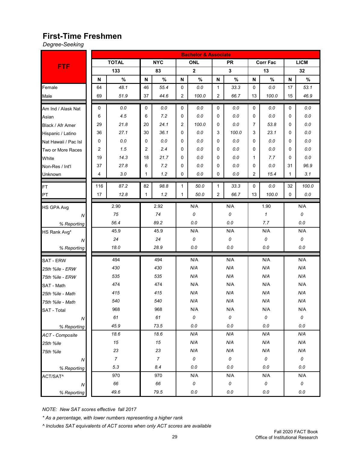# **First-Time Freshmen**

*Degree-Seeking*

|                        | <b>Bachelor &amp; Associate</b> |                |                |                  |              |             |                |             |     |                 |              |                    |
|------------------------|---------------------------------|----------------|----------------|------------------|--------------|-------------|----------------|-------------|-----|-----------------|--------------|--------------------|
|                        |                                 | <b>TOTAL</b>   |                | <b>NYC</b>       |              | <b>ONL</b>  |                | <b>PR</b>   |     | <b>Corr Fac</b> |              | <b>LICM</b>        |
| <b>FTF</b>             |                                 | 133            |                | 83               |              | $\mathbf 2$ |                | $\mathbf 3$ |     | 13              |              | 32                 |
|                        | ${\sf N}$                       | $\%$           | N              | $\%$             | N            | $\%$        | N              | $\%$        | N   | $\%$            | N            | $\%$               |
| Female                 | 64                              | 48.1           | 46             | 55.4             | 0            | $0.0\,$     | 1              | 33.3        | 0   | 0.0             | 17           | 53.1               |
| Male                   | 69                              | 51.9           | 37             | 44.6             | 2            | 100.0       | 2              | 66.7        | 13  | 100.0           | 15           | 46.9               |
| Am Ind / Alask Nat     | 0                               | 0.0            | 0              | 0.0              | 0            | 0.0         | 0              | 0.0         | 0   | 0.0             | 0            | 0.0                |
| Asian                  | 6                               | 4.5            | 6              | 7.2              | 0            | 0.0         | 0              | 0.0         | 0   | 0.0             | 0            | $0.0\,$            |
| Black / Afr Amer       | 29                              | 21.8           | 20             | 24.1             | 2            | 100.0       | 0.0<br>0       |             | 7   | 53.8            |              | $0.0\,$            |
| Hispanic / Latino      | 36                              | 27.1           | 30             | 36.1             | 0            | 0.0         | 3              | 100.0       | 3   | 23.1            | 0            | $0.0\,$            |
| Nat Hawaii / Pac Isl   | 0                               | $0.0\,$        | 0              | 0.0              | 0            | 0.0         | 0              | 0.0         | 0   | 0.0             | 0            | $0.0\,$            |
| Two or More Races      | 2                               | 1.5            | $\overline{2}$ | 2.4              | 0            | 0.0         | 0              | 0.0         | 0   | 0.0             | 0            | 0.0                |
| White                  | 19                              | 14.3           | 18             | 21.7             | 0            | 0.0         | 0              | 0.0         | 1   | 7.7             | 0            | $0.0\,$            |
| Non-Res / Int'l        | 37                              | 27.8           | 6              | 7.2              | 0            | 0.0         | 0              | 0.0         | 0   | 0.0             | 31           | 96.9               |
| Unknown                | 4                               | 3.0            | 1              | 1.2              | 0            | 0.0         | 0              | 0.0         | 2   | 15.4            | $\mathbf{1}$ | 3.1                |
| FT                     | 116                             | 87.2           | 82             | 98.8             | 1            | 50.0        | 1              | 33.3        | 0   | 0.0             | 32           | 100.0              |
| PT                     | 17                              | 12.8           | 1              | 1.2              | 1            | 50.0        | $\overline{2}$ | 66.7        | 13  | 100.0           | 0            | 0.0                |
| <b>HS GPA Avg</b>      |                                 | 2.90           |                | 2.92             |              | N/A         |                | N/A         |     | 1.90            |              | N/A                |
| N                      |                                 | 75             |                | 74               |              | 0           |                | 0           |     | $\mathcal I$    |              | 0                  |
| % Reporting            |                                 | 56.4           |                | 89.2             |              | 0.0         |                | 0.0         |     | 7.7             |              | 0.0                |
| HS Rank Avg*           |                                 | 45.9           |                | 45.9             |              | N/A         |                | N/A         |     | N/A             |              | N/A                |
| N                      |                                 | 24             |                | 24               |              | 0           |                | 0           |     | 0               |              | 0                  |
| % Reporting            |                                 | 18.0           |                | 28.9             |              | 0.0         |                | 0.0         |     | 0.0             |              | $0.0\,$            |
| <b>SAT - ERW</b>       |                                 | 494            |                | 494              |              | N/A         |                | N/A         |     | N/A             |              | N/A                |
| 25th %ile - ERW        |                                 | 430            |                | 430              |              | N/A         |                | N/A         |     | N/A             |              | N/A                |
| 75th %ile - ERW        |                                 | 535            |                | 535              |              | N/A         |                | N/A         |     | N/A             |              | N/A                |
| SAT - Math             |                                 | 474            |                | 474              |              | N/A         |                | N/A         |     | N/A             |              | N/A                |
| 25th %ile - Math       |                                 | 415            |                | 415              |              | N/A         |                | N/A         |     | N/A             |              | N/A                |
| 75th %ile - Math       |                                 | 540            |                | 540              |              | N/A         |                | N/A         |     | N/A             |              | N/A                |
| SAT - Total            |                                 | 968            |                | 968              |              | N/A         |                | N/A         |     | N/A             |              | N/A                |
| ${\cal N}$             |                                 | 61             |                | 61               |              | 0           |                | 0           |     | 0               |              | 0                  |
| % Reporting            |                                 | 45.9           |                | 73.5             |              | 0.0         |                | 0.0         |     | 0.0             |              | $0.0\,$            |
| <b>ACT</b> - Composite |                                 | 18.6           |                | 18.6             |              | N/A         |                | N/A         |     | N/A             |              | N/A                |
| 25th %ile              |                                 | $15\,$         |                | 15               |              | N/A         |                | N/A         |     | N/A             |              | N/A                |
| 75th %ile              |                                 | 23             |                | 23               |              | N/A         |                | N/A         |     | N/A             |              | N/A                |
| N                      |                                 | $\overline{7}$ |                | $\boldsymbol{7}$ |              | $\it{O}$    |                | 0           |     | 0               |              | $\cal O$           |
| % Reporting            |                                 | 5.3            |                | 8.4              |              | 0.0         |                | 0.0         |     | 0.0             |              | $0.0\,$            |
| ACT/SAT^               |                                 | 970            |                | 970              |              | N/A         |                | N/A         |     | N/A             |              | N/A                |
| N                      |                                 | 66             | 66             |                  | $\mathcal O$ |             | 0              |             | 0   |                 |              | $\pmb{\mathit{o}}$ |
| % Reporting            |                                 | 49.6           |                | 79.5             |              | $0.0\,$     |                | $0.0\,$     | 0.0 |                 |              | $0.0\,$            |

*NOTE: New SAT scores effective fall 2017*

*\* As a percentage, with lower numbers representing a higher rank*

*^ Includes SAT equivalents of ACT scores when only ACT scores are available*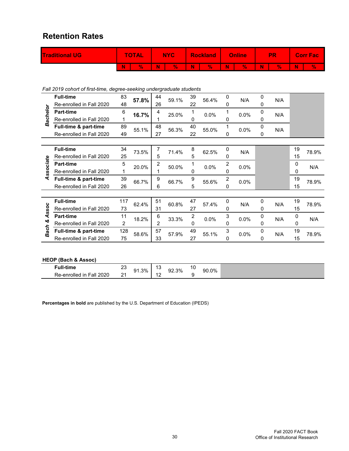#### **Retention Rates**

| <b>Traditional UG</b> | <b>TOTAL</b> | <b>NYC</b> |    |    | <b>Rockland</b> |   | <b>Online</b> |   | PR |   | <b>Corr Fact</b> |
|-----------------------|--------------|------------|----|----|-----------------|---|---------------|---|----|---|------------------|
|                       | V.           | W          | 94 | W. | 96              | W | W             | N | 94 | W | Y.               |

*Fall 2019 cohort of first-time, degree-seeking undergraduate students*

|             | <b>Full-time</b>         | 83  | 57.8% | 44             | 59.1% | 39               | 56.4% | 0 | N/A  | 0           | N/A |          |       |
|-------------|--------------------------|-----|-------|----------------|-------|------------------|-------|---|------|-------------|-----|----------|-------|
|             | Re-enrolled in Fall 2020 | 48  |       | 26             |       | 22               |       | 0 |      | 0           |     |          |       |
| Bachelor    | <b>Part-time</b>         | 6   | 16.7% | 4              | 25.0% | 1                | 0.0%  |   | 0.0% | 0           | N/A |          |       |
|             | Re-enrolled in Fall 2020 |     |       |                |       | 0                |       | 0 |      | 0           |     |          |       |
|             | Full-time & part-time    | 89  | 55.1% | 48             | 56.3% | 40               | 55.0% |   | 0.0% | $\mathbf 0$ | N/A |          |       |
|             | Re-enrolled in Fall 2020 | 49  |       | 27             |       | 22               |       | 0 |      | 0           |     |          |       |
|             |                          |     |       |                |       |                  |       |   |      |             |     |          |       |
|             | <b>Full-time</b>         | 34  | 73.5% |                | 71.4% | 8                | 62.5% | 0 | N/A  |             |     | 19       | 78.9% |
|             | Re-enrolled in Fall 2020 | 25  |       | 5              |       | 5                |       | 0 |      |             |     | 15       |       |
| ssociate    | <b>Part-time</b>         | 5   | 20.0% | 2              | 50.0% | 1                | 0.0%  | 2 | 0.0% |             |     | 0        | N/A   |
|             | Re-enrolled in Fall 2020 |     |       |                |       | 0                |       | 0 |      |             |     | 0        |       |
| ₹           | Full-time & part-time    | 39  | 66.7% | 9              | 66.7% | 9                | 55.6% | 2 | 0.0% |             |     | 19       | 78.9% |
|             | Re-enrolled in Fall 2020 | 26  |       | 6              |       | 5                |       | O |      |             |     | 15       |       |
|             |                          |     |       |                |       |                  |       |   |      |             |     |          |       |
|             | <b>Full-time</b>         | 117 | 62.4% | 51             | 60.8% | 47               | 57.4% | 0 | N/A  | 0           | N/A | 19       | 78.9% |
| Assoc       | Re-enrolled in Fall 2020 | 73  |       | 31             |       | 27               |       | 0 |      | 0           |     | 15       |       |
|             | <b>Part-time</b>         | 11  | 18.2% | 6              | 33.3% | $\boldsymbol{2}$ | 0.0%  | 3 | 0.0% | 0           | N/A | $\Omega$ | N/A   |
| త           | Re-enrolled in Fall 2020 | 2   |       | $\overline{2}$ |       | 0                |       | 0 |      | $\Omega$    |     | 0        |       |
| <b>Bach</b> | Full-time & part-time    | 128 | 58.6% | 57             | 57.9% | 49               | 55.1% | 3 | 0.0% | 0           | N/A | 19       | 78.9% |
|             | Re-enrolled in Fall 2020 | 75  |       | 33             |       | 27               |       | 0 |      | 0           |     | 15       |       |

#### **HEOP (Bach & Assoc)**

| ull-time <sup>-</sup>                        | 2.                 | ჟ1.3% ' | $\overline{a}$<br>ں ا           | 92.3% | l U | 90.0% |
|----------------------------------------------|--------------------|---------|---------------------------------|-------|-----|-------|
| Re-enrolled<br>2020<br>Fall<br>$\mathsf{In}$ | $\sim$<br><u>.</u> |         | $\overline{\phantom{a}}$<br>. . | _____ |     |       |

**Percentages in bold** are published by the U.S. Department of Education (IPEDS)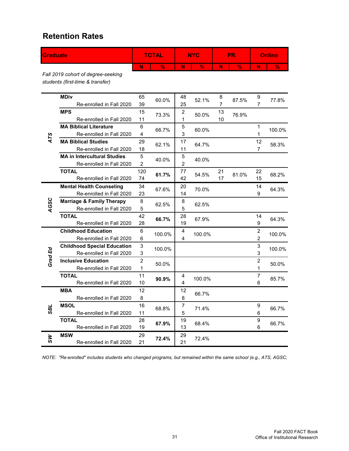#### **Retention Rates**

| <b>Graduate</b> |                                                                                                                   |                                | <b>TOTAL</b>  |                     | <b>NYC</b>    |          | <b>PR</b>     |                     | <b>Online</b> |
|-----------------|-------------------------------------------------------------------------------------------------------------------|--------------------------------|---------------|---------------------|---------------|----------|---------------|---------------------|---------------|
|                 |                                                                                                                   | N                              | $\frac{9}{6}$ | N                   | $\frac{9}{6}$ | N        | $\frac{9}{6}$ | N                   | $\frac{9}{6}$ |
|                 | Fall 2019 cohort of degree-seeking<br>students (first-time & transfer)                                            |                                |               |                     |               |          |               |                     |               |
|                 | <b>MDiv</b><br>Re-enrolled in Fall 2020                                                                           | 65<br>39                       | 60.0%         | 48<br>25            | 52.1%         | 8<br>7   | 87.5%         | 9<br>7              | 77.8%         |
|                 | <b>MPS</b><br>Re-enrolled in Fall 2020                                                                            | 15<br>11                       | 73.3%         | $\overline{c}$<br>1 | 50.0%         | 13<br>10 | 76.9%         |                     |               |
|                 | <b>MA Biblical Literature</b><br>Re-enrolled in Fall 2020                                                         | 6<br>4                         | 66.7%         | 5<br>3              | 60.0%         |          |               | 1<br>1              | 100.0%        |
| ATS             | <b>MA Biblical Studies</b><br>Re-enrolled in Fall 2020                                                            | 29<br>18                       | 62.1%         | 17<br>11            | 64.7%         |          |               | 12<br>7             | 58.3%         |
|                 | <b>MA in Intercultural Studies</b><br>Re-enrolled in Fall 2020                                                    | 5<br>$\overline{2}$            | 40.0%         | 5<br>$\overline{2}$ | 40.0%         |          |               |                     |               |
|                 | <b>TOTAL</b><br>Re-enrolled in Fall 2020                                                                          | 120<br>74                      | 61.7%         | 77<br>42            | 54.5%         | 21<br>17 | 81.0%         | 22<br>15            | 68.2%         |
|                 | <b>Mental Health Counseling</b><br>Re-enrolled in Fall 2020                                                       | 34<br>23                       | 67.6%         | 20<br>14            | 70.0%         |          |               | 14<br>9             | 64.3%         |
| AGSC            | <b>Marriage &amp; Family Therapy</b><br>Re-enrolled in Fall 2020                                                  | 8<br>5                         | 62.5%         | 8<br>5              | 62.5%         |          |               |                     |               |
|                 | <b>TOTAL</b><br>Re-enrolled in Fall 2020                                                                          | 42<br>28                       | 66.7%         | 28<br>19            | 67.9%         |          |               | 14<br>9             | 64.3%         |
|                 | <b>Childhood Education</b><br>Re-enrolled in Fall 2020                                                            | 6<br>6                         | 100.0%        | 4<br>4              | 100.0%        |          |               | $\overline{c}$<br>2 | 100.0%        |
|                 | <b>Childhood Special Education</b><br>Re-enrolled in Fall 2020                                                    | $\ensuremath{\mathsf{3}}$<br>3 | 100.0%        |                     |               |          |               | 3<br>3              | 100.0%        |
| Grad Ed         | <b>Inclusive Education</b><br>Re-enrolled in Fall 2020                                                            | $\overline{c}$<br>$\mathbf{1}$ | 50.0%         |                     |               |          |               | $\overline{c}$<br>1 | 50.0%         |
|                 | <b>TOTAL</b><br>Re-enrolled in Fall 2020                                                                          | 11<br>10                       | 90.9%         | 4<br>4              | 100.0%        |          |               | 7<br>6              | 85.7%         |
|                 | <b>MBA</b><br>Re-enrolled in Fall 2020                                                                            | 12<br>8                        |               | 12<br>8             | 66.7%         |          |               |                     |               |
| <b>7gS</b>      | <b>MSOL</b><br>Re-enrolled in Fall 2020                                                                           | 16<br>11                       | 68.8%         | 7<br>5              | 71.4%         |          |               | 9<br>6              | 66.7%         |
|                 | <b>TOTAL</b><br>Re-enrolled in Fall 2020                                                                          | 28<br>19                       | 67.9%         | 19<br>13            | 68.4%         |          |               | 9<br>6              | 66.7%         |
| ŠУ              | <b>MSW</b><br>Re-enrolled in Fall 2020                                                                            | 29<br>21                       | 72.4%         | 29<br>21            | 72.4%         |          |               |                     |               |
|                 | NOTE: "Re-enrolled" includes students who changed programs, but remained within the same school (e.g., ATS, AGSC, |                                |               |                     |               |          |               |                     |               |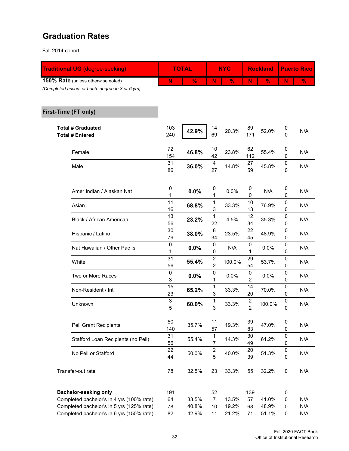#### **Graduation Rates**

Fall 2014 cohort

| <b>Traditional UG (degree-seeking)</b>             |            | <b>TOTAL</b>  |                               | <b>NYC</b>    |                                    | <b>Rockland</b> |                        | <b>Puerto Rico</b> |
|----------------------------------------------------|------------|---------------|-------------------------------|---------------|------------------------------------|-----------------|------------------------|--------------------|
| 150% Rate (unless otherwise noted)                 | N          | $\frac{9}{6}$ | N                             | $\frac{9}{6}$ | N                                  | $\frac{9}{6}$   | N                      | $\frac{9}{6}$      |
| (Completed assoc. or bach. degree in 3 or 6 yrs)   |            |               |                               |               |                                    |                 |                        |                    |
| First-Time (FT only)                               |            |               |                               |               |                                    |                 |                        |                    |
| <b>Total # Graduated</b><br><b>Total # Entered</b> | 103<br>240 | 42.9%         | 14<br>69                      | 20.3%         | 89<br>171                          | 52.0%           | 0<br>$\overline{0}$    | N/A                |
| Female                                             | 72<br>154  | 46.8%         | 10<br>42                      | 23.8%         | 62<br>112                          | 55.4%           | 0<br>0                 | N/A                |
| Male                                               | 31<br>86   | 36.0%         | $\overline{\mathbf{4}}$<br>27 | 14.8%         | 27<br>59                           | 45.8%           | 0<br>0                 | N/A                |
| Amer Indian / Alaskan Nat                          | 0<br>1     | 0.0%          | 0<br>1                        | 0.0%          | 0<br>0                             | N/A             | $\boldsymbol{0}$<br>0  | N/A                |
| Asian                                              | 11<br>16   | 68.8%         | 1<br>3                        | 33.3%         | 10<br>13                           | 76.9%           | $\pmb{0}$<br>0         | N/A                |
| Black / African American                           | 13<br>56   | 23.2%         | $\mathbf{1}$<br>22            | 4.5%          | 12<br>34                           | 35.3%           | 0<br>0                 | N/A                |
| Hispanic / Latino                                  | 30<br>79   | 38.0%         | 8<br>34                       | 23.5%         | 22<br>45                           | 48.9%           | 0<br>0                 | N/A                |
| Nat Hawaiian / Other Pac Isl                       | 0<br>1     | 0.0%          | 0<br>0                        | N/A           | $\pmb{0}$<br>1                     | 0.0%            | 0<br>0                 | N/A                |
| White                                              | 31<br>56   | 55.4%         | $\overline{c}$<br>2           | 100.0%        | 29<br>54                           | 53.7%           | 0<br>0                 | N/A                |
| Two or More Races                                  | 0<br>3     | 0.0%          | 0<br>1                        | 0.0%          | $\pmb{0}$<br>$\overline{c}$        | 0.0%            | 0<br>0                 | N/A                |
| Non-Resident / Int'l                               | 15<br>23   | 65.2%         | 1<br>3                        | 33.3%         | 14<br>20                           | 70.0%           | 0<br>0                 | N/A                |
| Unknown                                            | 3<br>5     | 60.0%         | 1<br>3                        | 33.3%         | $\boldsymbol{2}$<br>$\overline{2}$ | 100.0%          | 0<br>0                 | N/A                |
| <b>Pell Grant Recipients</b>                       | 50<br>140  | 35.7%         | 11<br>57                      | 19.3%         | 39<br>83                           | 47.0%           | 0<br>$\pmb{0}$         | N/A                |
| Stafford Loan Recipients (no Pell)                 | 31<br>56   | 55.4%         | 1<br>$\overline{7}$           | 14.3%         | 30<br>49                           | 61.2%           | $\pmb{0}$<br>$\pmb{0}$ | N/A                |
| No Pell or Stafford                                | 22<br>44   | 50.0%         | $\boldsymbol{2}$<br>5         | 40.0%         | 20<br>39                           | 51.3%           | $\pmb{0}$<br>0         | N/A                |
| Transfer-out rate                                  | 78         | 32.5%         | 23                            | 33.3%         | 55                                 | 32.2%           | $\pmb{0}$              | N/A                |
| <b>Bachelor-seeking only</b>                       | 191        |               | 52                            |               | 139                                |                 | $\pmb{0}$              |                    |
| Completed bachelor's in 4 yrs (100% rate)          | 64         | 33.5%         | $\overline{7}$                | 13.5%         | 57                                 | 41.0%           | 0                      | N/A                |
| Completed bachelor's in 5 yrs (125% rate)          | 78         | 40.8%         | 10                            | 19.2%         | 68                                 | 48.9%           | 0                      | N/A<br>N/A         |
| Completed bachelor's in 6 yrs (150% rate)          | 82         | 42.9%         | 11                            | 21.2%         | 71                                 | 51.1%           | 0                      |                    |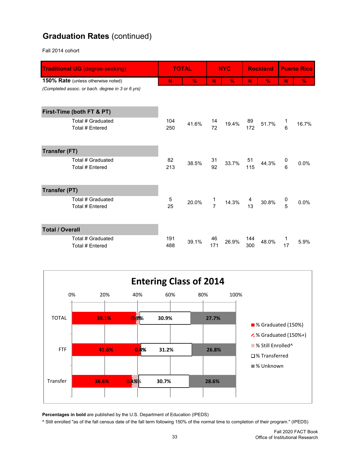## **Graduation Rates** (continued)

Fall 2014 cohort

| <b>Traditional UG (degree-seeking)</b>           |                   | <b>TOTAL</b>  |               | <b>NYC</b>    |                                        | <b>Rockland</b> | <b>Puerto Rico</b> |       |
|--------------------------------------------------|-------------------|---------------|---------------|---------------|----------------------------------------|-----------------|--------------------|-------|
| <b>150% Rate</b> (unless otherwise noted)        | N                 | $\frac{9}{6}$ | N             | $\frac{0}{6}$ | N                                      | $\frac{9}{6}$   | N                  | $\%$  |
| (Completed assoc. or bach. degree in 3 or 6 yrs) |                   |               |               |               |                                        |                 |                    |       |
| First-Time (both FT & PT)                        |                   |               |               |               |                                        |                 |                    |       |
| Total # Graduated<br>Total # Entered             | 104<br>250        | 41.6%         | 14<br>72      | 19.4%         | 89<br>172                              | 51.7%           | $\overline{6}$     | 16.7% |
| <b>Transfer (FT)</b>                             |                   |               |               |               |                                        |                 |                    |       |
| Total # Graduated<br>Total # Entered             | 82<br>213         | 38.5%         | 31<br>92      | 33.7%         | 51<br>115                              | 44.3%           | 0<br>6             | 0.0%  |
| <b>Transfer (PT)</b>                             |                   |               |               |               |                                        |                 |                    |       |
| Total # Graduated<br><b>Total # Entered</b>      | $\mathbf 5$<br>25 | 20.0%         | $\frac{1}{7}$ | 14.3%         | $\begin{array}{c} 4 \\ 13 \end{array}$ | 30.8%           |                    | 0.0%  |
| <b>Total / Overall</b>                           |                   |               |               |               |                                        |                 |                    |       |
| Total # Graduated<br>Total # Entered             | 191<br>488        | 39.1%         | 46<br>171     | 26.9%         | 144<br>300                             | 48.0%           | 17                 | 5.9%  |



**Percentages in bold** are published by the U.S. Department of Education (IPEDS)

^ Still enrolled "as of the fall census date of the fall term following 150% of the normal time to completion of their program." (IPEDS)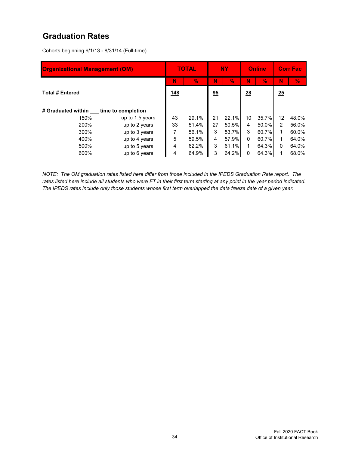#### **Graduation Rates**

Cohorts beginning 9/1/13 - 8/31/14 (Full-time)

| <b>Organizational Management (OM)</b> |                 |    | <b>TOTAL</b> | NY. |       | <b>Online</b> |       | <b>Corr Fac</b> |       |
|---------------------------------------|-----------------|----|--------------|-----|-------|---------------|-------|-----------------|-------|
|                                       | N               | V. | N            | V.  | N     | $\frac{0}{2}$ | N     | V.              |       |
| <b>Total # Entered</b>                |                 |    |              | 95  |       | 28            |       | 25              |       |
| # Graduated within time to completion |                 |    |              |     |       |               |       |                 |       |
| 150%                                  | up to 1.5 years | 43 | 29.1%        | 21  | 22.1% | 10            | 35.7% | 12              | 48.0% |
| 200%                                  | up to 2 years   | 33 | 51.4%        | 27  | 50.5% | 4             | 50.0% | 2               | 56.0% |
| 300%                                  | up to 3 years   | 7  | 56.1%        | 3   | 53.7% | 3             | 60.7% |                 | 60.0% |
| 400%                                  | up to 4 years   | 5  | 59.5%        | 4   | 57.9% | 0             | 60.7% |                 | 64.0% |
| 500%                                  | up to 5 years   | 4  | 62.2%        | 3   | 61.1% | 1             | 64.3% | $\Omega$        | 64.0% |
| 600%                                  | up to 6 years   | 4  | 64.9%        | 3   | 64.2% | 0             | 64.3% |                 | 68.0% |

*NOTE: The OM graduation rates listed here differ from those included in the IPEDS Graduation Rate report. The rates listed here include all students who were FT in their first term starting at any point in the year period indicated. The IPEDS rates include only those students whose first term overlapped the data freeze date of a given year.*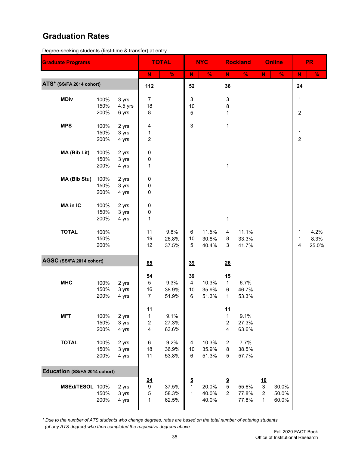#### **Graduation Rates**

Degree-seeking students (first-time & transfer) at entry

| <b>Graduate Programs</b>             |              |                |                              | <b>TOTAL</b>   |               | <b>NYC</b>     |                                | <b>Rockland</b> |                | <b>Online</b>  |                | <b>PR</b>     |
|--------------------------------------|--------------|----------------|------------------------------|----------------|---------------|----------------|--------------------------------|-----------------|----------------|----------------|----------------|---------------|
|                                      |              |                | ${\bf N}$                    | $\frac{9}{6}$  | ${\sf N}$     | $\frac{9}{6}$  | ${\sf N}$                      | $\%$            | N              | $\%$           | N              | $\frac{9}{6}$ |
| ATS* (SS/FA 2014 cohort)             |              |                | 112                          |                | 52            |                | 36                             |                 |                |                | 24             |               |
| <b>MDiv</b>                          | 100%         | 3 yrs          | $\overline{7}$               |                | 3             |                | 3                              |                 |                |                | 1              |               |
|                                      | 150%         | $4.5$ yrs      | 18                           |                | 10            |                | 8                              |                 |                |                |                |               |
|                                      | 200%         | 6 yrs          | 8                            |                | 5             |                | 1                              |                 |                |                | $\overline{2}$ |               |
| <b>MPS</b>                           | 100%         | 2 yrs          | 4                            |                | 3             |                | 1                              |                 |                |                |                |               |
|                                      | 150%         | 3 yrs          | 1                            |                |               |                |                                |                 |                |                | 1              |               |
|                                      | 200%         | 4 yrs          | $\boldsymbol{2}$             |                |               |                |                                |                 |                |                | $\overline{c}$ |               |
| MA (Bib Lit)                         | 100%         | 2 yrs          | 0                            |                |               |                |                                |                 |                |                |                |               |
|                                      | 150%         | 3 yrs          | 0                            |                |               |                |                                |                 |                |                |                |               |
|                                      | 200%         | 4 yrs          | 1                            |                |               |                | 1                              |                 |                |                |                |               |
| MA (Bib Stu)                         | 100%         | 2 yrs          | 0                            |                |               |                |                                |                 |                |                |                |               |
|                                      | 150%         | 3 yrs          | 0                            |                |               |                |                                |                 |                |                |                |               |
|                                      | 200%         | 4 yrs          | 0                            |                |               |                |                                |                 |                |                |                |               |
| <b>MA in IC</b>                      | 100%         | 2 yrs          | 0                            |                |               |                |                                |                 |                |                |                |               |
|                                      | 150%         | 3 yrs          | 0                            |                |               |                |                                |                 |                |                |                |               |
|                                      | 200%         | 4 yrs          | 1                            |                |               |                | 1                              |                 |                |                |                |               |
| <b>TOTAL</b>                         | 100%         |                | 11                           | 9.8%           | 6             | 11.5%          | 4                              | 11.1%           |                |                | 1              | 4.2%          |
|                                      | 150%         |                | 19                           | 26.8%          | 10            | 30.8%          | 8                              | 33.3%           |                |                | $\mathbf 1$    | 8.3%          |
|                                      | 200%         |                | 12                           | 37.5%          | 5             | 40.4%          | 3                              | 41.7%           |                |                | 4              | 25.0%         |
| AGSC (SS/FA 2014 cohort)             |              |                |                              |                |               |                |                                |                 |                |                |                |               |
|                                      |              |                | 65                           |                | 39            |                | 26                             |                 |                |                |                |               |
|                                      |              |                | 54                           |                | 39            |                | 15                             |                 |                |                |                |               |
| <b>MHC</b>                           | 100%         | 2 yrs          | $5\phantom{.0}$              | 9.3%           | 4             | 10.3%          | $\mathbf{1}$                   | 6.7%            |                |                |                |               |
|                                      | 150%<br>200% | 3 yrs<br>4 yrs | 16<br>$\overline{7}$         | 38.9%<br>51.9% | 10<br>6       | 35.9%<br>51.3% | 6<br>1                         | 46.7%<br>53.3%  |                |                |                |               |
|                                      |              |                |                              |                |               |                |                                |                 |                |                |                |               |
|                                      |              |                | 11                           |                |               |                | 11                             |                 |                |                |                |               |
| <b>MFT</b>                           | 100%<br>150% | 2 yrs<br>3 yrs | 1<br>$\overline{\mathbf{c}}$ | 9.1%<br>27.3%  |               |                | $\mathbf{1}$<br>$\overline{c}$ | 9.1%<br>27.3%   |                |                |                |               |
|                                      | 200%         | 4 yrs          | 4                            | 63.6%          |               |                | $\overline{\mathbf{4}}$        | 63.6%           |                |                |                |               |
|                                      |              |                |                              |                |               |                |                                |                 |                |                |                |               |
| <b>TOTAL</b>                         | 100%<br>150% | 2 yrs<br>3 yrs | 6<br>18                      | 9.2%<br>36.9%  | 4<br>10       | 10.3%<br>35.9% | $\overline{\mathbf{c}}$<br>8   | 7.7%<br>38.5%   |                |                |                |               |
|                                      | 200%         | 4 yrs          | 11                           | 53.8%          | 6             | 51.3%          | 5                              | 57.7%           |                |                |                |               |
|                                      |              |                |                              |                |               |                |                                |                 |                |                |                |               |
| <b>Education (SS/FA 2014 cohort)</b> |              |                |                              |                |               |                |                                |                 |                |                |                |               |
|                                      |              |                | $\frac{24}{9}$               |                | $\frac{5}{1}$ |                | $\frac{9}{5}$                  |                 | $\frac{10}{3}$ |                |                |               |
| MSEd/TESOL 100%                      | 150%         | 2 yrs<br>3 yrs | 5                            | 37.5%<br>58.3% | 1             | 20.0%<br>40.0% | $\overline{2}$                 | 55.6%<br>77.8%  | $\overline{c}$ | 30.0%<br>50.0% |                |               |
|                                      | 200%         | 4 yrs          | 1                            | 62.5%          |               | 40.0%          |                                | 77.8%           | $\mathbf{1}$   | 60.0%          |                |               |
|                                      |              |                |                              |                |               |                |                                |                 |                |                |                |               |

*\* Due to the number of ATS students who change degrees, rates are based on the total number of entering students (of any ATS degree) who then completed the respective degrees above*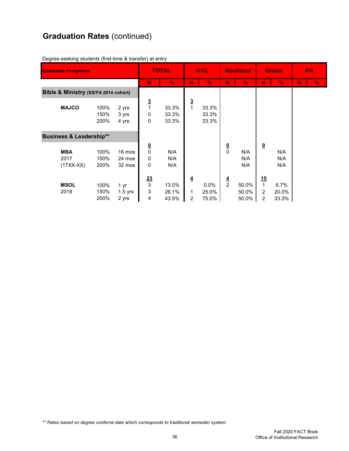# **Graduation Rates** (continued)

| <b>Graduate Programs</b>             |                      | <b>TOTAL</b>               |                                   | <b>NYC</b>              |                     | <b>Rockland</b>           |               | <b>Online</b>           |                                                  | <b>PR</b>              |   |               |
|--------------------------------------|----------------------|----------------------------|-----------------------------------|-------------------------|---------------------|---------------------------|---------------|-------------------------|--------------------------------------------------|------------------------|---|---------------|
|                                      |                      |                            | N                                 | $\frac{9}{6}$           | N                   | $\%$                      | N             | $\%$                    | N                                                | $\frac{0}{2}$          | N | $\frac{9}{6}$ |
| Bible & Ministry (SS/FA 2014 cohort) |                      |                            |                                   |                         |                     |                           |               |                         |                                                  |                        |   |               |
| <b>MAJCO</b>                         | 100%<br>150%<br>200% | 2 yrs<br>3 yrs<br>4 yrs    | $\frac{3}{1}$<br>0<br>0           | 33.3%<br>33.3%<br>33.3% | <u>3</u>            | 33.3%<br>33.3%<br>33.3%   |               |                         |                                                  |                        |   |               |
| <b>Business &amp; Leadership**</b>   |                      |                            |                                   |                         |                     |                           |               |                         |                                                  |                        |   |               |
| <b>MBA</b><br>2017<br>$(17XX-XX)$    | 100%<br>150%<br>200% | 16 mos<br>24 mos<br>32 mos | $\frac{0}{0}$<br>0<br>$\mathbf 0$ | N/A<br>N/A<br>N/A       |                     |                           | $\frac{0}{0}$ | N/A<br>N/A<br>N/A       | $\underline{\mathbf{0}}$                         | N/A<br>N/A<br>N/A      |   |               |
| <b>MSOL</b><br>2018                  | 100%<br>150%<br>200% | 1 yr<br>$1.5$ yrs<br>2 yrs | $\frac{23}{3}$<br>3<br>4          | 13.0%<br>26.1%<br>43.5% | $\overline{4}$<br>2 | $0.0\%$<br>25.0%<br>75.0% | $\frac{4}{2}$ | 50.0%<br>50.0%<br>50.0% | <u>15</u><br>$\mathbf{1}$<br>2<br>$\overline{2}$ | 6.7%<br>20.0%<br>33.3% |   |               |

Degree-seeking students (first-time & transfer) at entry

*\*\* Rates based on degree conferral date which corresponds to traditional semester system*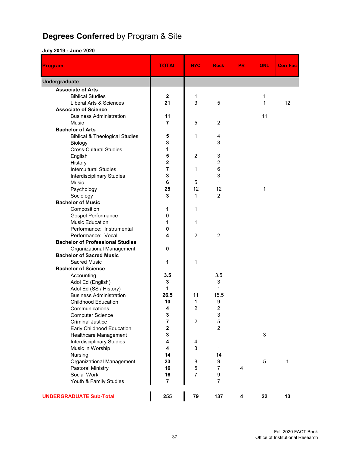# **Degrees Conferred** by Program & Site

#### **July 2019 - June 2020**

| <b>Program</b>                            | <b>TOTAL</b>            | <b>NYC</b>     | <b>Rock</b>     | <b>PR</b> | ONL         | <b>Corr Fac</b> |
|-------------------------------------------|-------------------------|----------------|-----------------|-----------|-------------|-----------------|
| <b>Undergraduate</b>                      |                         |                |                 |           |             |                 |
| <b>Associate of Arts</b>                  |                         |                |                 |           |             |                 |
| <b>Biblical Studies</b>                   | $\mathbf{2}$            | 1              |                 |           | 1           |                 |
| Liberal Arts & Sciences                   | 21                      | 3              | 5               |           | 1           | 12              |
| <b>Associate of Science</b>               |                         |                |                 |           |             |                 |
| <b>Business Administration</b>            | 11                      |                |                 |           | 11          |                 |
| <b>Music</b>                              | $\overline{7}$          | 5              | $\overline{2}$  |           |             |                 |
| <b>Bachelor of Arts</b>                   |                         |                |                 |           |             |                 |
| <b>Biblical &amp; Theological Studies</b> | 5                       | 1              | 4               |           |             |                 |
| Biology                                   | 3                       |                | 3               |           |             |                 |
| <b>Cross-Cultural Studies</b>             | 1                       |                | 1               |           |             |                 |
| English                                   | 5                       | $\overline{c}$ | 3               |           |             |                 |
| History                                   | 2                       |                | $\overline{c}$  |           |             |                 |
| <b>Intercultural Studies</b>              | 7                       | 1              | $6\phantom{1}6$ |           |             |                 |
| <b>Interdisciplinary Studies</b>          | 3                       |                | 3               |           |             |                 |
| <b>Music</b>                              | 6                       | 5              | 1               |           |             |                 |
| Psychology                                | 25                      | 12             | 12              |           | 1           |                 |
| Sociology                                 | 3                       | $\mathbf 1$    | $\overline{2}$  |           |             |                 |
| <b>Bachelor of Music</b>                  |                         |                |                 |           |             |                 |
| Composition                               | 1                       | 1              |                 |           |             |                 |
| Gospel Performance                        | 0                       |                |                 |           |             |                 |
| <b>Music Education</b>                    | 1                       | 1              |                 |           |             |                 |
| Performance: Instrumental                 | 0                       |                |                 |           |             |                 |
| Performance: Vocal                        | 4                       | $\overline{2}$ | $\overline{2}$  |           |             |                 |
| <b>Bachelor of Professional Studies</b>   |                         |                |                 |           |             |                 |
| Organizational Management                 | 0                       |                |                 |           |             |                 |
| <b>Bachelor of Sacred Music</b>           |                         |                |                 |           |             |                 |
| <b>Sacred Music</b>                       | 1                       | 1              |                 |           |             |                 |
| <b>Bachelor of Science</b>                |                         |                |                 |           |             |                 |
| Accounting                                | 3.5                     |                | 3.5             |           |             |                 |
| Adol Ed (English)                         | $\mathbf 3$             |                | 3               |           |             |                 |
| Adol Ed (SS / History)                    | 1                       |                | 1               |           |             |                 |
| <b>Business Administration</b>            | 26.5                    | 11             | 15.5            |           |             |                 |
| <b>Childhood Education</b>                | 10                      | 1              | 9               |           |             |                 |
| Communications                            | 4                       | 2              | 2               |           |             |                 |
| <b>Computer Science</b>                   | 3                       |                | 3               |           |             |                 |
| <b>Criminal Justice</b>                   | $\overline{\mathbf{r}}$ | $\overline{c}$ | 5               |           |             |                 |
| Early Childhood Education                 | $\overline{\mathbf{2}}$ |                | $\overline{2}$  |           |             |                 |
| Healthcare Management                     | $\mathbf 3$             |                |                 |           | $\sqrt{3}$  |                 |
| Interdisciplinary Studies                 | 4                       | 4              |                 |           |             |                 |
| Music in Worship                          | $\overline{\mathbf{4}}$ | 3              | 1               |           |             |                 |
| Nursing                                   | 14                      |                | 14              |           |             |                 |
| <b>Organizational Management</b>          | 23                      | 8              | 9               |           | $\mathbf 5$ | 1               |
| <b>Pastoral Ministry</b>                  | 16                      | 5              | $\overline{7}$  | 4         |             |                 |
| Social Work                               | 16                      | $\overline{7}$ | 9               |           |             |                 |
| Youth & Family Studies                    | 7                       |                | $\overline{7}$  |           |             |                 |
| <b>UNDERGRADUATE Sub-Total</b>            | 255                     | 79             | 137             | 4         | 22          | 13              |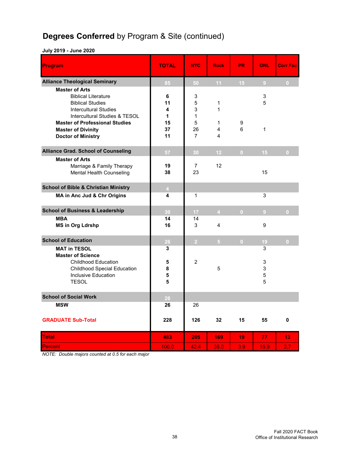# **Degrees Conferred** by Program & Site (continued)

#### **July 2019 - June 2020**

| Program                                                                                                                                         | <b>TOTAL</b>      | <b>NYC</b>                  | <b>Rock</b>            | <b>PR</b>       | <b>ONL</b>       | <b>Corr Fac</b>  |
|-------------------------------------------------------------------------------------------------------------------------------------------------|-------------------|-----------------------------|------------------------|-----------------|------------------|------------------|
| <b>Alliance Theological Seminary</b>                                                                                                            | 85                | 50                          | 11 <sub>1</sub>        | 15 <sub>1</sub> | 9 <sup>°</sup>   | $\mathbf{0}$     |
| <b>Master of Arts</b><br><b>Biblical Literature</b><br><b>Biblical Studies</b><br><b>Intercultural Studies</b><br>Intercultural Studies & TESOL | 6<br>11<br>4<br>1 | 3<br>5<br>3<br>$\mathbf{1}$ | $\mathbf{1}$<br>1      |                 | 3<br>5           |                  |
| <b>Master of Professional Studies</b><br><b>Master of Divinity</b><br><b>Doctor of Ministry</b>                                                 | 15<br>37<br>11    | 5<br>26<br>$\overline{7}$   | $\mathbf{1}$<br>4<br>4 | 9<br>6          | $\mathbf{1}$     |                  |
| <b>Alliance Grad. School of Counseling</b>                                                                                                      | 57                | 30                          | 12                     | $\overline{0}$  | 15               | $\overline{0}$   |
| <b>Master of Arts</b><br>Marriage & Family Therapy<br>Mental Health Counseling                                                                  | 19<br>38          | 7<br>23                     | 12                     |                 | 15               |                  |
| <b>School of Bible &amp; Christian Ministry</b>                                                                                                 | $\overline{4}$    |                             |                        |                 |                  |                  |
| MA in Anc Jud & Chr Origins                                                                                                                     | 4                 | $\mathbf{1}$                |                        |                 | 3                |                  |
| <b>School of Business &amp; Leadership</b>                                                                                                      | 30                | 17 <sub>2</sub>             | $4 \sim 1$             | $\overline{0}$  | 9 <sup>°</sup>   | $\Omega$         |
| <b>MBA</b><br><b>MS in Org Ldrshp</b>                                                                                                           | 14<br>16          | 14<br>3                     | 4                      |                 | 9                |                  |
| <b>School of Education</b>                                                                                                                      | 26                | 2 <sup>1</sup>              | $5 -$                  | $\mathbf{0}$    | 19               | $\overline{0}$   |
| <b>MAT in TESOL</b><br><b>Master of Science</b>                                                                                                 | 3                 |                             |                        |                 | 3                |                  |
| <b>Childhood Education</b><br><b>Childhood Special Education</b><br><b>Inclusive Education</b><br><b>TESOL</b>                                  | 5<br>8<br>5<br>5  | $\overline{2}$              | 5                      |                 | 3<br>3<br>5<br>5 |                  |
| <b>School of Social Work</b>                                                                                                                    | 26                |                             |                        |                 |                  |                  |
| <b>MSW</b>                                                                                                                                      | 26                | 26                          |                        |                 |                  |                  |
| <b>GRADUATE Sub-Total</b>                                                                                                                       | 228               | 126                         | 32                     | 15              | 55               | 0                |
| <b>Total</b>                                                                                                                                    | 483               | 205                         | 169                    | 19              | 77               | 13               |
| <b>Percent</b>                                                                                                                                  | 100.0             | 42.4                        | 35.0                   | 3.9             | 15.9             | 2.7 <sub>2</sub> |

*NOTE: Double majors counted at 0.5 for each major*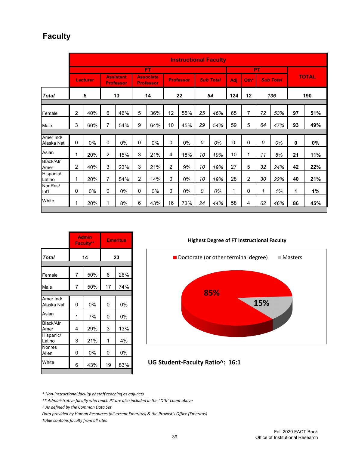### **Faculty**

|                         |   | <b>Instructional Faculty</b> |                |                               |   |                                      |                |                  |    |                  |            |                |    |                  |    |              |
|-------------------------|---|------------------------------|----------------|-------------------------------|---|--------------------------------------|----------------|------------------|----|------------------|------------|----------------|----|------------------|----|--------------|
|                         |   |                              |                |                               |   | FT                                   |                |                  |    |                  |            |                | PT |                  |    |              |
|                         |   | <b>Lecturer</b>              |                | <b>Assistant</b><br>Professor |   | <b>Associate</b><br><b>Professor</b> |                | <b>Professor</b> |    | <b>Sub Total</b> | <b>Adj</b> | Oth*           |    | <b>Sub Total</b> |    | <b>TOTAL</b> |
| <b>Total</b>            |   | 5                            |                | 13                            |   | 14                                   |                | 22               |    | 54               | 124        | 12             |    | 136              |    | 190          |
|                         |   |                              |                |                               |   |                                      |                |                  |    |                  |            |                |    |                  |    |              |
| Female                  | 2 | 40%                          | 6              | 46%                           | 5 | 36%                                  | 12             | 55%              | 25 | 46%              | 65         | 7              | 72 | 53%              | 97 | 51%          |
| Male                    | 3 | 60%                          | 7              | 54%                           | 9 | 64%                                  | 10             | 45%              | 29 | 54%              | 59         | 5              | 64 | 47%              | 93 | 49%          |
|                         |   |                              |                |                               |   |                                      |                |                  |    |                  |            |                |    |                  |    |              |
| Amer Ind/<br>Alaska Nat | 0 | 0%                           | 0              | 0%                            | 0 | 0%                                   | 0              | 0%               | 0  | 0%               | 0          | 0              | 0  | 0%               | 0  | $0\%$        |
| Asian                   | 1 | 20%                          | $\overline{2}$ | 15%                           | 3 | 21%                                  | 4              | 18%              | 10 | 19%              | 10         | 1              | 11 | 8%               | 21 | 11%          |
| Black/Afr<br>Amer       | 2 | 40%                          | 3              | 23%                           | 3 | 21%                                  | $\overline{2}$ | 9%               | 10 | 19%              | 27         | 5              | 32 | 24%              | 42 | 22%          |
| Hispanic/<br>Latino     | 1 | 20%                          | 7              | 54%                           | 2 | 14%                                  | 0              | 0%               | 10 | 19%              | 28         | $\overline{c}$ | 30 | 22%              | 40 | 21%          |
| NonRes/<br>Int'l        | 0 | 0%                           | $\mathbf 0$    | $0\%$                         | 0 | 0%                                   | 0              | $0\%$            | 0  | 0%               | 1          | 0              | 1  | 1%               | 1  | 1%           |
| White                   | 1 | 20%                          | 1              | 8%                            | 6 | 43%                                  | 16             | 73%              | 24 | 44%              | 58         | 4              | 62 | 46%              | 86 | 45%          |

|                         |                | <b>Admin</b><br>Faculty** | <b>Emeritus</b> |     |  |  |  |  |  |
|-------------------------|----------------|---------------------------|-----------------|-----|--|--|--|--|--|
| <b>Total</b>            |                | 14                        | 23              |     |  |  |  |  |  |
|                         |                |                           |                 |     |  |  |  |  |  |
| Female                  | $\overline{7}$ | 50%                       | 6               | 26% |  |  |  |  |  |
| Male                    | 7              | 50%                       | 17              | 74% |  |  |  |  |  |
|                         |                |                           |                 |     |  |  |  |  |  |
| Amer Ind/<br>Alaska Nat | 0              | 0%                        | 0               | 0%  |  |  |  |  |  |
| Asian                   | 1              | 7%                        | 0               | 0%  |  |  |  |  |  |
| Black/Afr<br>Amer       | 4              | 29%                       | 3               | 13% |  |  |  |  |  |
| Hispanic/<br>Latino     | 3              | 21%                       | 1               | 4%  |  |  |  |  |  |
| Nonres<br>Alien         | 0              | 0%                        | 0               | 0%  |  |  |  |  |  |
| White                   | 6              | 43%                       | 19              | 83% |  |  |  |  |  |
|                         |                |                           |                 |     |  |  |  |  |  |

**Highest Degree of FT Instructional Faculty**



**UG Student-Faculty Ratio^: 16:1**

*\* Non-instructional faculty or staff teaching as adjuncts*

*\*\* Administrative faculty who teach PT are also included in the "Oth" count above*

*^ As defined by the Common Data Set*

*Data provided by Human Resources (all except Emeritus) & the Provost's Office (Emeritus) Table contains faculty from all sites*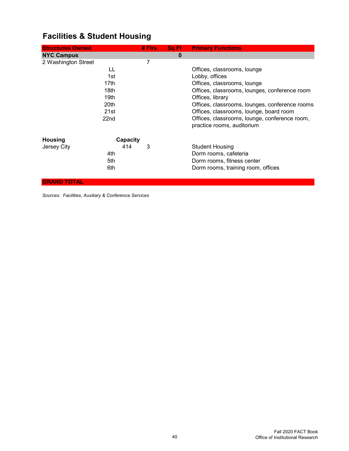| <b>Structures Owned</b> |          | $#$ Firs | Sq Ft    | <b>Primary Functions</b>                       |
|-------------------------|----------|----------|----------|------------------------------------------------|
| <b>NYC Campus</b>       |          |          | $\bf{0}$ |                                                |
| 2 Washington Street     |          | 7        |          |                                                |
| LL                      |          |          |          | Offices, classrooms, lounge                    |
| 1st                     |          |          |          | Lobby, offices                                 |
| 17th                    |          |          |          | Offices, classrooms, lounge                    |
| 18th                    |          |          |          | Offices, classrooms, lounges, conference room  |
| 19th                    |          |          |          | Offices, library                               |
| 20th                    |          |          |          | Offices, classrooms, lounges, conference rooms |
| 21st                    |          |          |          | Offices, classrooms, lounge, board room        |
| 22nd                    |          |          |          | Offices, classrooms, lounge, conference room,  |
|                         |          |          |          | practice rooms, auditorium                     |
| <b>Housing</b>          | Capacity |          |          |                                                |
| Jersey City             | 414      | 3        |          | <b>Student Housing</b>                         |
| 4th                     |          |          |          | Dorm rooms, cafeteria                          |
| 5th                     |          |          |          | Dorm rooms, fitness center                     |
| 6th                     |          |          |          | Dorm rooms, training room, offices             |

# **Facilities & Student Housing**

**GRAND TOTAL**

*Sources: Facilities, Auxiliary & Conference Services*